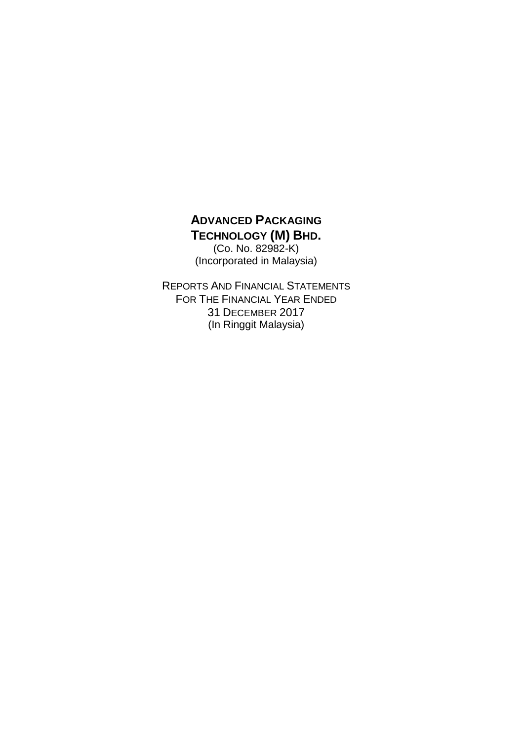(Co. No. 82982-K) (Incorporated in Malaysia)

REPORTS AND FINANCIAL STATEMENTS FOR THE FINANCIAL YEAR ENDED 31 DECEMBER 2017 (In Ringgit Malaysia)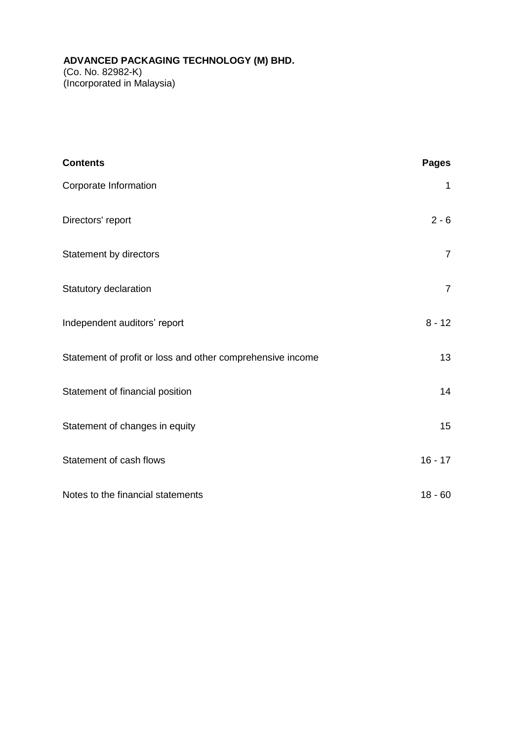# **ADVANCED PACKAGING TECHNOLOGY (M) BHD.** (Co. No. 82982-K) (Incorporated in Malaysia)

| <b>Contents</b>                                            | <b>Pages</b>   |
|------------------------------------------------------------|----------------|
| Corporate Information                                      | 1              |
| Directors' report                                          | $2 - 6$        |
| Statement by directors                                     | $\overline{7}$ |
| Statutory declaration                                      | $\overline{7}$ |
| Independent auditors' report                               | $8 - 12$       |
| Statement of profit or loss and other comprehensive income | 13             |
| Statement of financial position                            | 14             |
| Statement of changes in equity                             | 15             |
| Statement of cash flows                                    | $16 - 17$      |
| Notes to the financial statements                          | $18 - 60$      |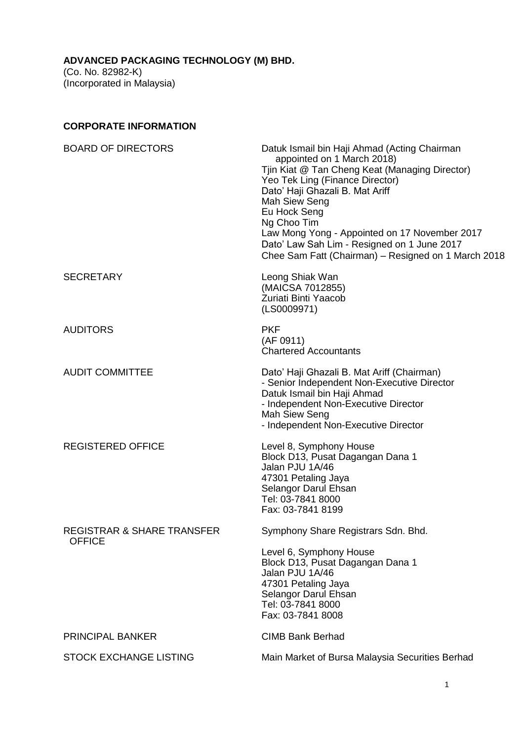# **CORPORATE INFORMATION**

| <b>BOARD OF DIRECTORS</b>                              | Datuk Ismail bin Haji Ahmad (Acting Chairman<br>appointed on 1 March 2018)<br>Tjin Kiat @ Tan Cheng Keat (Managing Director)<br>Yeo Tek Ling (Finance Director)<br>Dato' Haji Ghazali B. Mat Ariff<br>Mah Siew Seng<br>Eu Hock Seng<br>Ng Choo Tim<br>Law Mong Yong - Appointed on 17 November 2017<br>Dato' Law Sah Lim - Resigned on 1 June 2017 |
|--------------------------------------------------------|----------------------------------------------------------------------------------------------------------------------------------------------------------------------------------------------------------------------------------------------------------------------------------------------------------------------------------------------------|
|                                                        | Chee Sam Fatt (Chairman) - Resigned on 1 March 2018                                                                                                                                                                                                                                                                                                |
| <b>SECRETARY</b>                                       | Leong Shiak Wan<br>(MAICSA 7012855)<br>Zuriati Binti Yaacob<br>(LS0009971)                                                                                                                                                                                                                                                                         |
| <b>AUDITORS</b>                                        | <b>PKF</b><br>(AF 0911)<br><b>Chartered Accountants</b>                                                                                                                                                                                                                                                                                            |
| <b>AUDIT COMMITTEE</b>                                 | Dato' Haji Ghazali B. Mat Ariff (Chairman)<br>- Senior Independent Non-Executive Director<br>Datuk Ismail bin Haji Ahmad<br>- Independent Non-Executive Director<br>Mah Siew Seng<br>- Independent Non-Executive Director                                                                                                                          |
| <b>REGISTERED OFFICE</b>                               | Level 8, Symphony House<br>Block D13, Pusat Dagangan Dana 1<br>Jalan PJU 1A/46<br>47301 Petaling Jaya<br>Selangor Darul Ehsan<br>Tel: 03-7841 8000<br>Fax: 03-7841 8199                                                                                                                                                                            |
| <b>REGISTRAR &amp; SHARE TRANSFER</b><br><b>OFFICE</b> | Symphony Share Registrars Sdn. Bhd.                                                                                                                                                                                                                                                                                                                |
|                                                        | Level 6, Symphony House<br>Block D13, Pusat Dagangan Dana 1<br>Jalan PJU 1A/46<br>47301 Petaling Jaya<br>Selangor Darul Ehsan<br>Tel: 03-7841 8000<br>Fax: 03-7841 8008                                                                                                                                                                            |
| <b>PRINCIPAL BANKER</b>                                | <b>CIMB Bank Berhad</b>                                                                                                                                                                                                                                                                                                                            |
| <b>STOCK EXCHANGE LISTING</b>                          | Main Market of Bursa Malaysia Securities Berhad                                                                                                                                                                                                                                                                                                    |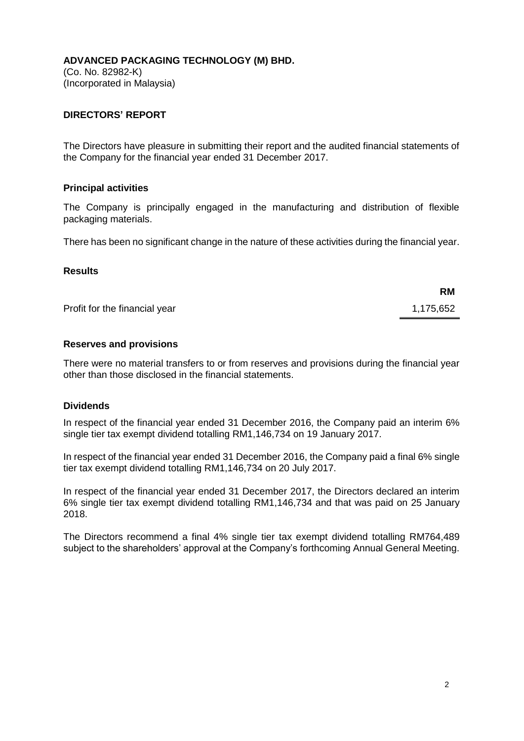(Co. No. 82982-K) (Incorporated in Malaysia)

# **DIRECTORS' REPORT**

The Directors have pleasure in submitting their report and the audited financial statements of the Company for the financial year ended 31 December 2017.

### **Principal activities**

The Company is principally engaged in the manufacturing and distribution of flexible packaging materials.

There has been no significant change in the nature of these activities during the financial year.

#### **Results**

Profit for the financial year 1,175,652

#### **Reserves and provisions**

There were no material transfers to or from reserves and provisions during the financial year other than those disclosed in the financial statements.

# **Dividends**

In respect of the financial year ended 31 December 2016, the Company paid an interim 6% single tier tax exempt dividend totalling RM1,146,734 on 19 January 2017.

In respect of the financial year ended 31 December 2016, the Company paid a final 6% single tier tax exempt dividend totalling RM1,146,734 on 20 July 2017.

In respect of the financial year ended 31 December 2017, the Directors declared an interim 6% single tier tax exempt dividend totalling RM1,146,734 and that was paid on 25 January 2018.

The Directors recommend a final 4% single tier tax exempt dividend totalling RM764,489 subject to the shareholders' approval at the Company's forthcoming Annual General Meeting.

**RM**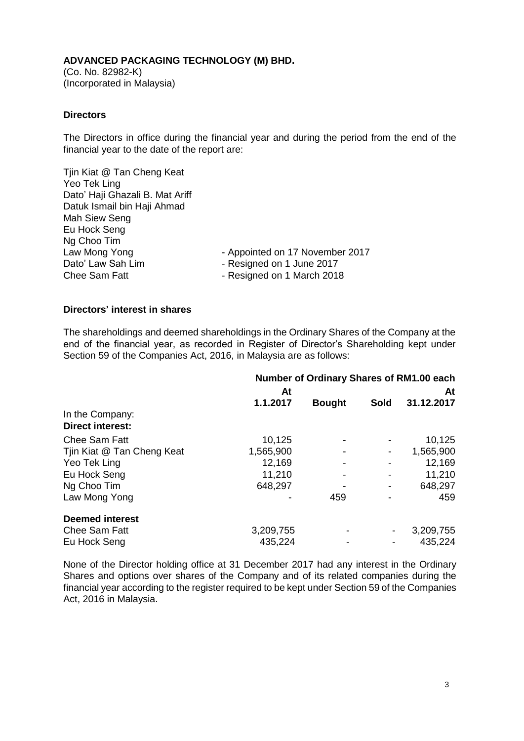(Co. No. 82982-K) (Incorporated in Malaysia)

# **Directors**

The Directors in office during the financial year and during the period from the end of the financial year to the date of the report are:

Tjin Kiat @ Tan Cheng Keat Yeo Tek Ling Dato' Haji Ghazali B. Mat Ariff Datuk Ismail bin Haji Ahmad Mah Siew Seng Eu Hock Seng Ng Choo Tim Law Mong Yong **Canadian Constructs** - Appointed on 17 November 2017 Dato' Law Sah Lim  $\overline{\phantom{0}}$  - Resigned on 1 June 2017 Chee Sam Fatt **- Resigned on 1 March 2018** 

#### **Directors' interest in shares**

The shareholdings and deemed shareholdings in the Ordinary Shares of the Company at the end of the financial year, as recorded in Register of Director's Shareholding kept under Section 59 of the Companies Act, 2016, in Malaysia are as follows:

|                                            | Number of Ordinary Shares of RM1.00 each |               |             |            |
|--------------------------------------------|------------------------------------------|---------------|-------------|------------|
|                                            | At                                       |               |             | At         |
|                                            | 1.1.2017                                 | <b>Bought</b> | <b>Sold</b> | 31.12.2017 |
| In the Company:<br><b>Direct interest:</b> |                                          |               |             |            |
| <b>Chee Sam Fatt</b>                       | 10,125                                   |               |             | 10,125     |
| Tjin Kiat @ Tan Cheng Keat                 | 1,565,900                                |               |             | 1,565,900  |
| Yeo Tek Ling                               | 12,169                                   |               |             | 12,169     |
| Eu Hock Seng                               | 11,210                                   |               |             | 11,210     |
| Ng Choo Tim                                | 648,297                                  |               |             | 648,297    |
| Law Mong Yong                              |                                          | 459           |             | 459        |
| <b>Deemed interest</b>                     |                                          |               |             |            |
| <b>Chee Sam Fatt</b>                       | 3,209,755                                |               |             | 3,209,755  |
| Eu Hock Seng                               | 435,224                                  |               |             | 435,224    |

None of the Director holding office at 31 December 2017 had any interest in the Ordinary Shares and options over shares of the Company and of its related companies during the financial year according to the register required to be kept under Section 59 of the Companies Act, 2016 in Malaysia.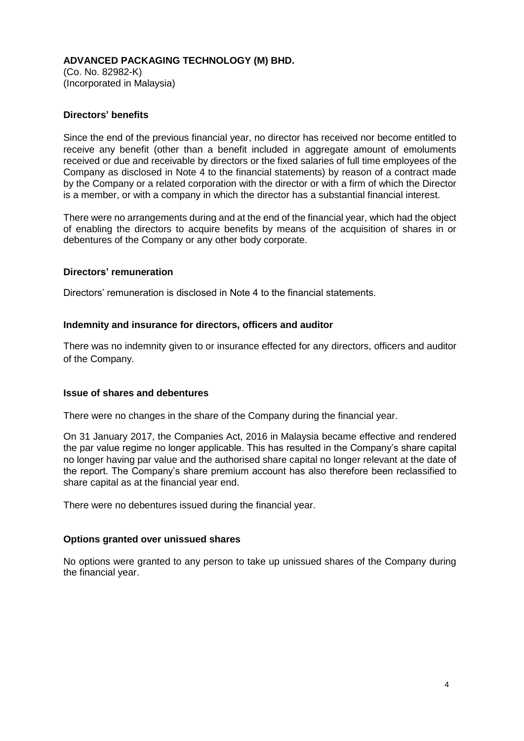(Co. No. 82982-K) (Incorporated in Malaysia)

# **Directors' benefits**

Since the end of the previous financial year, no director has received nor become entitled to receive any benefit (other than a benefit included in aggregate amount of emoluments received or due and receivable by directors or the fixed salaries of full time employees of the Company as disclosed in Note 4 to the financial statements) by reason of a contract made by the Company or a related corporation with the director or with a firm of which the Director is a member, or with a company in which the director has a substantial financial interest.

There were no arrangements during and at the end of the financial year, which had the object of enabling the directors to acquire benefits by means of the acquisition of shares in or debentures of the Company or any other body corporate.

#### **Directors' remuneration**

Directors' remuneration is disclosed in Note 4 to the financial statements.

# **Indemnity and insurance for directors, officers and auditor**

There was no indemnity given to or insurance effected for any directors, officers and auditor of the Company.

#### **Issue of shares and debentures**

There were no changes in the share of the Company during the financial year.

On 31 January 2017, the Companies Act, 2016 in Malaysia became effective and rendered the par value regime no longer applicable. This has resulted in the Company's share capital no longer having par value and the authorised share capital no longer relevant at the date of the report. The Company's share premium account has also therefore been reclassified to share capital as at the financial year end.

There were no debentures issued during the financial year.

# **Options granted over unissued shares**

No options were granted to any person to take up unissued shares of the Company during the financial year.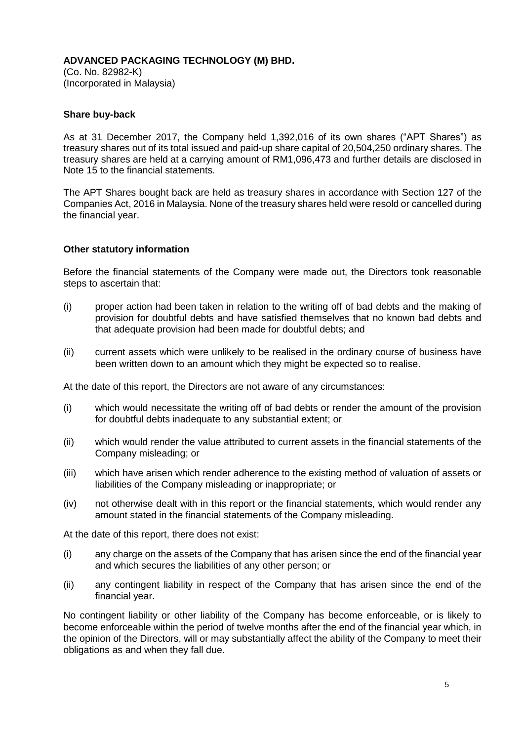(Co. No. 82982-K) (Incorporated in Malaysia)

# **Share buy-back**

As at 31 December 2017, the Company held 1,392,016 of its own shares ("APT Shares") as treasury shares out of its total issued and paid-up share capital of 20,504,250 ordinary shares. The treasury shares are held at a carrying amount of RM1,096,473 and further details are disclosed in Note 15 to the financial statements.

The APT Shares bought back are held as treasury shares in accordance with Section 127 of the Companies Act, 2016 in Malaysia. None of the treasury shares held were resold or cancelled during the financial year.

#### **Other statutory information**

Before the financial statements of the Company were made out, the Directors took reasonable steps to ascertain that:

- (i) proper action had been taken in relation to the writing off of bad debts and the making of provision for doubtful debts and have satisfied themselves that no known bad debts and that adequate provision had been made for doubtful debts; and
- (ii) current assets which were unlikely to be realised in the ordinary course of business have been written down to an amount which they might be expected so to realise.

At the date of this report, the Directors are not aware of any circumstances:

- (i) which would necessitate the writing off of bad debts or render the amount of the provision for doubtful debts inadequate to any substantial extent; or
- (ii) which would render the value attributed to current assets in the financial statements of the Company misleading; or
- (iii) which have arisen which render adherence to the existing method of valuation of assets or liabilities of the Company misleading or inappropriate; or
- (iv) not otherwise dealt with in this report or the financial statements, which would render any amount stated in the financial statements of the Company misleading.

At the date of this report, there does not exist:

- (i) any charge on the assets of the Company that has arisen since the end of the financial year and which secures the liabilities of any other person; or
- (ii) any contingent liability in respect of the Company that has arisen since the end of the financial year.

No contingent liability or other liability of the Company has become enforceable, or is likely to become enforceable within the period of twelve months after the end of the financial year which, in the opinion of the Directors, will or may substantially affect the ability of the Company to meet their obligations as and when they fall due.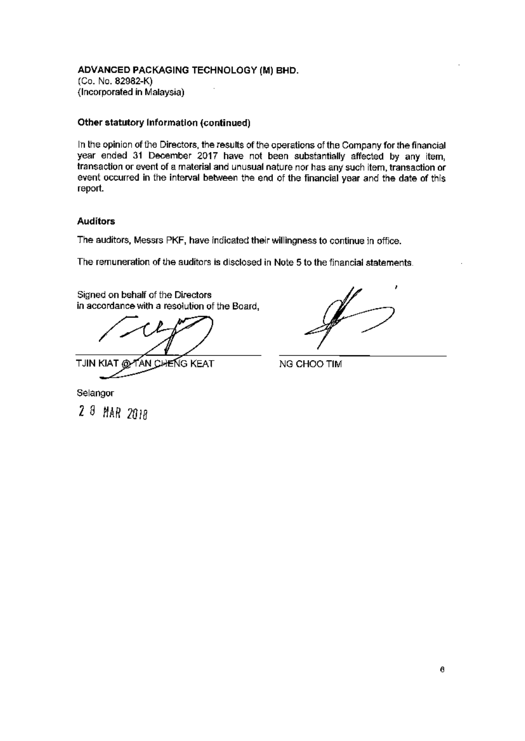#### ADVANCED PACKAGING TECHNOLOGY (M) BHD. (Co. No. 82982-K) (Incorporated in Malaysia)

#### Other statutory Information (continued)

In the opinion of the Directors, the results of the operations of the Company for the financial year ended 31 December 2017 have not been substantially affected by any item, transaction or event of a material and unusual nature nor has any such item, transaction or event occurred in the interval between the end of the financial year and the date of this report.

#### **Auditors**

The auditors, Messrs PKF, have indicated their willingness to continue in office.

The remuneration of the auditors is disclosed in Note 5 to the financial statements.

Signed on behalf of the Directors in accordance with a resolution of the Board,

YAN CHEÑG KEAT TJIN KIAT @

NG CHOO TIM

Selangor

2 8 MAR 2018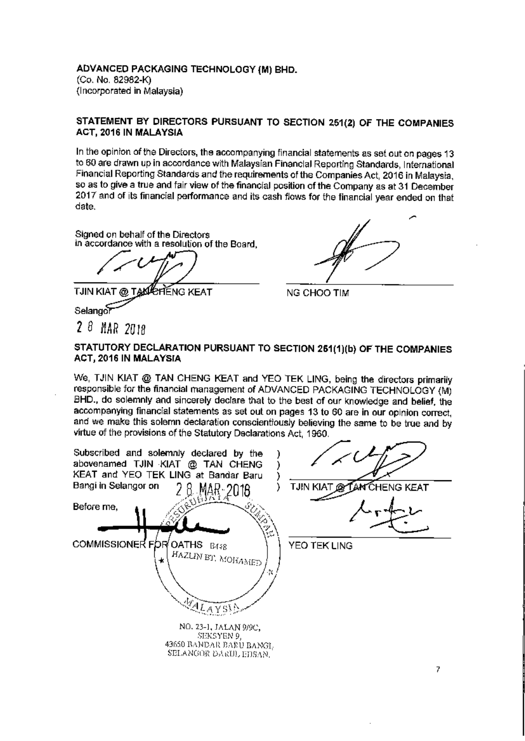ADVANCED PACKAGING TECHNOLOGY (M) BHD. (Co. No. 82982-K) (Incorporated in Malaysia)

#### STATEMENT BY DIRECTORS PURSUANT TO SECTION 251(2) OF THE COMPANIES ACT, 2016 IN MALAYSIA

In the opinion of the Directors, the accompanying financial statements as set out on pages 13 to 60 are drawn up in accordance with Malaysian Financial Reporting Standards, International Financial Reporting Standards and the requirements of the Companies Act, 2016 in Malaysia, so as to give a true and fair view of the financial position of the Company as at 31 December 2017 and of its financial performance and its cash flows for the financial year ended on that date.

Signed on behalf of the Directors in accordance with a resolution of the Board.

**TJIN KIAT TAKKEHENG KEAT** 

Selango

 $28$  MAR 2018

NG CHOO TIM

# STATUTORY DECLARATION PURSUANT TO SECTION 251(1)(b) OF THE COMPANIES ACT, 2016 IN MALAYSIA

We, TJIN KIAT @ TAN CHENG KEAT and YEO TEK LING, being the directors primarily responsible for the financial management of ADVANCED PACKAGING TECHNOLOGY (M) BHD., do solemnly and sincerely declare that to the best of our knowledge and belief, the accompanying financial statements as set out on pages 13 to 60 are in our opinion correct, and we make this solemn declaration conscientiously believing the same to be true and by virtue of the provisions of the Statutory Declarations Act, 1960.

Subscribed and solemnly declared by the abovenamed TJIN KIAT @ TAN CHENG KEAT and YEO TEK LING at Bandar Baru ) Bangi in Selangor on **TJIN** ١ **NG KEAT** Before me. OATHS B448 **COMMISSIONER F** b YEO TEK LING HAZLIN BT, MOHAMED LEAYSIA NO. 23-1, JALAN 9/9C, SEKSYEN 9 43650 BANDAR BARU BANGL SELANGOR DARIJI, HIJSAN.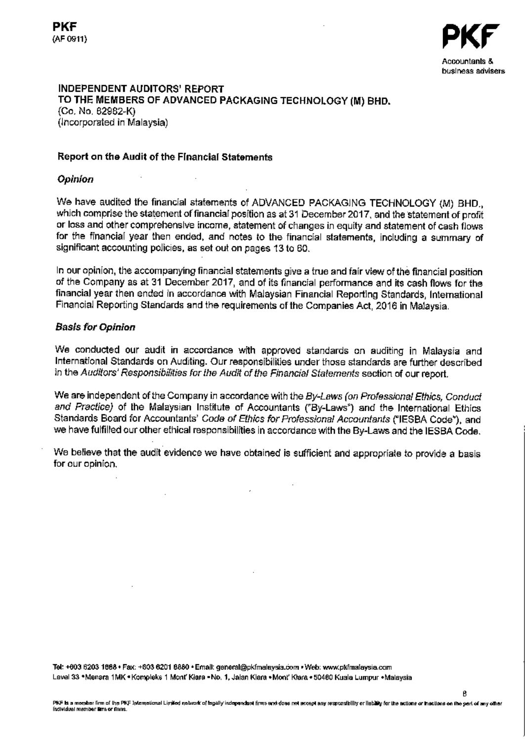

ß

#### **INDEPENDENT AUDITORS' REPORT** TO THE MEMBERS OF ADVANCED PACKAGING TECHNOLOGY (M) BHD. (Co. No. 82982-K)

(Incorporated in Malaysia)

# Report on the Audit of the Financial Statements

# **Opinion**

We have audited the financial statements of ADVANCED PACKAGING TECHNOLOGY (M) BHD., which comprise the statement of financial position as at 31 December 2017, and the statement of profit or loss and other comprehensive income, statement of changes in equity and statement of cash flows for the financial year then ended, and notes to the financial statements, including a summary of significant accounting policies, as set out on pages 13 to 60.

In our opinion, the accompanying financial statements give a true and fair view of the financial position of the Company as at 31 December 2017, and of its financial performance and its cash flows for the financial year then ended in accordance with Malaysian Financial Reporting Standards, International Financial Reporting Standards and the requirements of the Companies Act, 2016 in Malaysia.

# **Basis for Opinion**

We conducted our audit in accordance with approved standards on auditing in Malaysia and International Standards on Auditing. Our responsibilities under those standards are further described in the Auditors' Responsibilities for the Audit of the Financial Statements section of our report.

We are independent of the Company in accordance with the By-Laws (on Professional Ethics, Conduct and Practice) of the Malaysian Institute of Accountants ("By-Laws") and the International Ethics Standards Board for Accountants' Code of Ethics for Professional Accountants ("IESBA Code"), and we have fulfilled our other ethical responsibilities in accordance with the By-Laws and the IESBA Code.

We believe that the audit evidence we have obtained is sufficient and appropriate to provide a basis for our opinion.

Tel: +603 6203 1888 · Fax: +603 6201 8880 · Email: general@pkfmalaysia.com · Web: www.pkfmalaysia.com Lavel 33 \*Menara 1MK \* Kompleks 1 Mont Klara - No. 1, Jalan Klara \* Mont Klara \* 50460 Kuala Lumpur \* Malaysia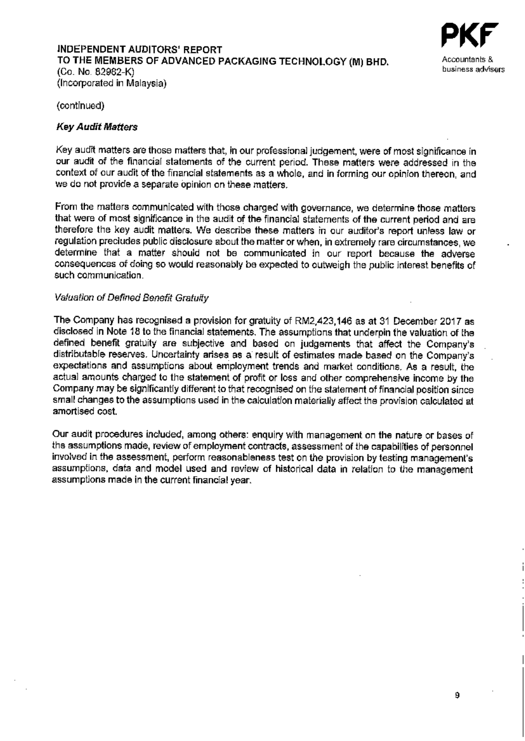#### **INDEPENDENT AUDITORS' REPORT** TO THE MEMBERS OF ADVANCED PACKAGING TECHNOLOGY (M) BHD. (Co. No. 82982-K) (Incorporated in Malaysia)



(continued)

# **Key Audit Matters**

Key audit matters are those matters that, in our professional judgement, were of most significance in our audit of the financial statements of the current period. These matters were addressed in the context of our audit of the financial statements as a whole, and in forming our opinion thereon, and we do not provide a separate opinion on these matters.

From the matters communicated with those charged with governance, we determine those matters that were of most significance in the audit of the financial statements of the current period and are therefore the key audit matters. We describe these matters in our auditor's report unless law or regulation precludes public disclosure about the matter or when, in extremely rare circumstances, we determine that a matter should not be communicated in our report because the adverse consequences of doing so would reasonably be expected to outweigh the public interest benefits of such communication.

#### Valuation of Defined Benefit Gratuity

The Company has recognised a provision for gratuity of RM2,423,146 as at 31 December 2017 as disclosed in Note 18 to the financial statements. The assumptions that underpin the valuation of the defined benefit gratuity are subjective and based on judgements that affect the Company's distributable reserves. Uncertainty arises as a result of estimates made based on the Company's expectations and assumptions about employment trends and market conditions. As a result, the actual amounts charged to the statement of profit or loss and other comprehensive income by the Company may be significantly different to that recognised on the statement of financial position since small changes to the assumptions used in the calculation materially affect the provision calculated at amortised cost.

Our audit procedures included, among others: enguiry with management on the nature or bases of the assumptions made, review of employment contracts, assessment of the capabilities of personnel involved in the assessment, perform reasonableness test on the provision by testing management's assumptions, data and model used and review of historical data in relation to the management assumptions made in the current financial year.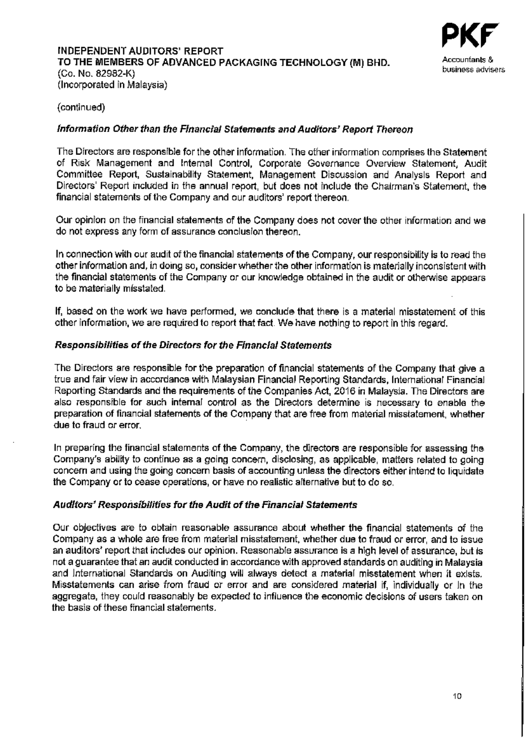

## (continued)

## Information Other than the Financial Statements and Auditors' Report Thereon

The Directors are responsible for the other information. The other information comprises the Statement of Risk Management and Internal Control, Corporate Governance Overview Statement, Audit Committee Report, Sustainability Statement, Management Discussion and Analysis Report and Directors' Report included in the annual report, but does not include the Chairman's Statement, the financial statements of the Company and our auditors' report thereon.

Our opinion on the financial statements of the Company does not cover the other information and we do not express any form of assurance conclusion thereon.

In connection with our audit of the financial statements of the Company, our responsibility is to read the other information and, in doing so, consider whether the other information is materially inconsistent with the financial statements of the Company or our knowledge obtained in the audit or otherwise appears to be materially misstated.

If, based on the work we have performed, we conclude that there is a material misstatement of this other information, we are required to report that fact. We have nothing to report in this regard.

#### Responsibilities of the Directors for the Financial Statements

The Directors are responsible for the preparation of financial statements of the Company that give a true and fair view in accordance with Malaysian Financial Reporting Standards, International Financial Reporting Standards and the requirements of the Companies Act, 2016 in Malaysia. The Directors are also responsible for such internal control as the Directors determine is necessary to enable the preparation of financial statements of the Company that are free from material misstatement, whether due to fraud or error.

In preparing the financial statements of the Company, the directors are responsible for assessing the Company's ability to continue as a going concern, disclosing, as applicable, matters related to going concern and using the going concern basis of accounting unless the directors either intend to liquidate the Company or to cease operations, or have no realistic alternative but to do so.

#### Auditors' Responsibilities for the Audit of the Financial Statements

Our objectives are to obtain reasonable assurance about whether the financial statements of the Company as a whole are free from material misstatement, whether due to fraud or error, and to issue an auditors' report that includes our opinion. Reasonable assurance is a high level of assurance, but is not a guarantee that an audit conducted in accordance with approved standards on auditing in Malaysia and International Standards on Auditing will always detect a material misstatement when it exists. Misstatements can arise from fraud or error and are considered material if, individually or in the aggregate, they could reasonably be expected to influence the economic decisions of users taken on the basis of these financial statements.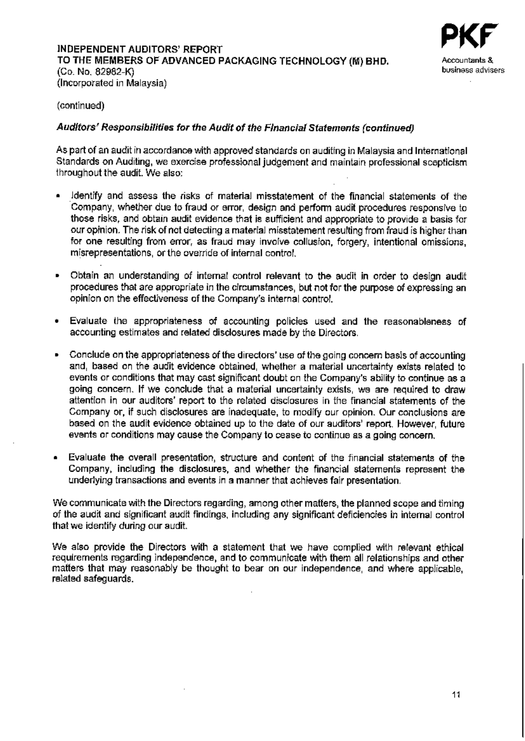

(continued)

## Auditors' Responsibilities for the Audit of the Financial Statements (continued)

As part of an audit in accordance with approved standards on auditing in Malaysia and International Standards on Auditing, we exercise professional judgement and maintain professional scepticism throughout the audit. We also:

- Identify and assess the risks of material misstatement of the financial statements of the Company, whether due to fraud or error, design and perform audit procedures responsive to those risks, and obtain audit evidence that is sufficient and appropriate to provide a basis for our opinion. The risk of not detecting a material misstatement resulting from fraud is higher than for one resulting from error, as fraud may involve collusion, forgery, intentional omissions, misrepresentations, or the override of internal control.
- Obtain an understanding of internal control relevant to the audit in order to design audit procedures that are appropriate in the circumstances, but not for the purpose of expressing an opinion on the effectiveness of the Company's internal control.
- Evaluate the appropriateness of accounting policies used and the reasonableness of accounting estimates and related disclosures made by the Directors.
- Conclude on the appropriateness of the directors' use of the going concern basis of accounting  $\blacksquare$ and, based on the audit evidence obtained, whether a material uncertainty exists related to events or conditions that may cast significant doubt on the Company's ability to continue as a going concern. If we conclude that a material uncertainty exists, we are required to draw attention in our auditors' report to the related disclosures in the financial statements of the Company or, if such disclosures are inadequate, to modify our opinion. Our conclusions are based on the audit evidence obtained up to the date of our auditors' report. However, future events or conditions may cause the Company to cease to continue as a going concern,
- Evaluate the overall presentation, structure and content of the financial statements of the Company, including the disclosures, and whether the financial statements represent the underlying transactions and events in a manner that achieves fair presentation.

We communicate with the Directors regarding, among other matters, the planned scope and timing of the audit and significant audit findings, including any significant deficiencies in internal control that we identify during our audit.

We also provide the Directors with a statement that we have complied with relevant ethical requirements regarding independence, and to communicate with them all relationships and other matters that may reasonably be thought to bear on our independence, and where applicable. related safeguards.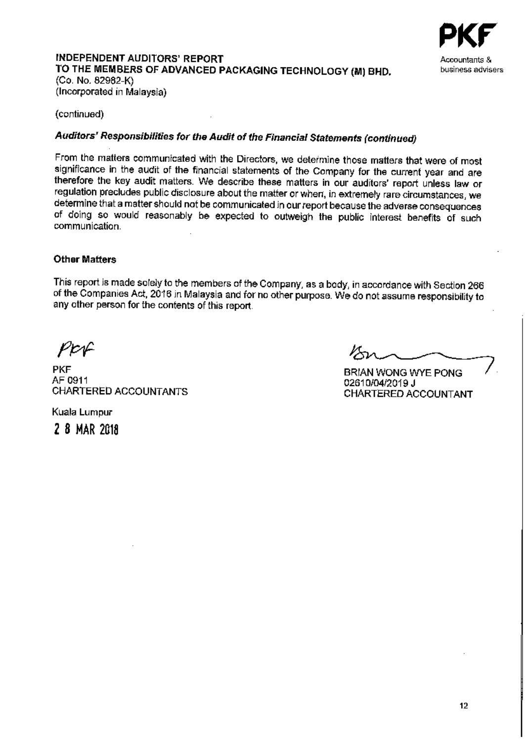

#### **INDEPENDENT AUDITORS' REPORT** TO THE MEMBERS OF ADVANCED PACKAGING TECHNOLOGY (M) BHD. (Co. No. 82982-K) (Incorporated in Malaysia)

(continued)

# Auditors' Responsibilities for the Audit of the Financial Statements (continued)

From the matters communicated with the Directors, we determine those matters that were of most significance in the audit of the financial statements of the Company for the current year and are therefore the key audit matters. We describe these matters in our auditors' report unless law or regulation precludes public disclosure about the matter or when, in extremely rare circumstances, we determine that a matter should not be communicated in our report because the adverse consequences of doing so would reasonably be expected to outweigh the public interest benefits of such communication.

# **Other Matters**

This report is made solely to the members of the Company, as a body, in accordance with Section 266 of the Companies Act, 2016 in Malaysia and for no other purpose. We do not assume responsibility to any other person for the contents of this report.

POF

**PKF** AF 0911 **CHARTERED ACCOUNTANTS** 

**BRIAN WONG WYE PONG** 02610/04/2019 J CHARTERED ACCOUNTANT

Kuala Lumpur 2 8 MAR 2018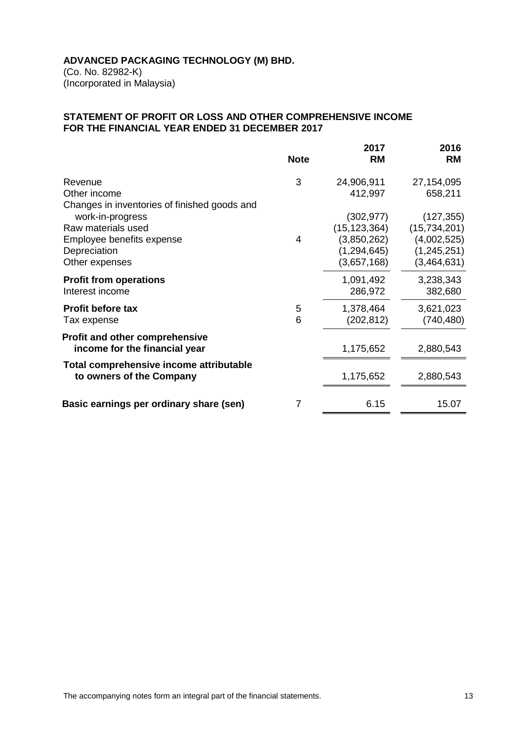(Co. No. 82982-K) (Incorporated in Malaysia)

# **STATEMENT OF PROFIT OR LOSS AND OTHER COMPREHENSIVE INCOME FOR THE FINANCIAL YEAR ENDED 31 DECEMBER 2017**

|                                                                                                       | <b>Note</b> | 2017<br><b>RM</b>                                                           | 2016<br><b>RM</b>                                                       |
|-------------------------------------------------------------------------------------------------------|-------------|-----------------------------------------------------------------------------|-------------------------------------------------------------------------|
| Revenue<br>Other income<br>Changes in inventories of finished goods and                               | 3           | 24,906,911<br>412,997                                                       | 27,154,095<br>658,211                                                   |
| work-in-progress<br>Raw materials used<br>Employee benefits expense<br>Depreciation<br>Other expenses | 4           | (302, 977)<br>(15, 123, 364)<br>(3,850,262)<br>(1, 294, 645)<br>(3,657,168) | (127, 355)<br>(15,734,201)<br>(4,002,525)<br>(1,245,251)<br>(3,464,631) |
| <b>Profit from operations</b><br>Interest income                                                      |             | 1,091,492<br>286,972                                                        | 3,238,343<br>382,680                                                    |
| <b>Profit before tax</b><br>Tax expense                                                               | 5<br>6      | 1,378,464<br>(202, 812)                                                     | 3,621,023<br>(740, 480)                                                 |
| <b>Profit and other comprehensive</b><br>income for the financial year                                |             | 1,175,652                                                                   | 2,880,543                                                               |
| Total comprehensive income attributable<br>to owners of the Company                                   |             | 1,175,652                                                                   | 2,880,543                                                               |
| Basic earnings per ordinary share (sen)                                                               | 7           | 6.15                                                                        | 15.07                                                                   |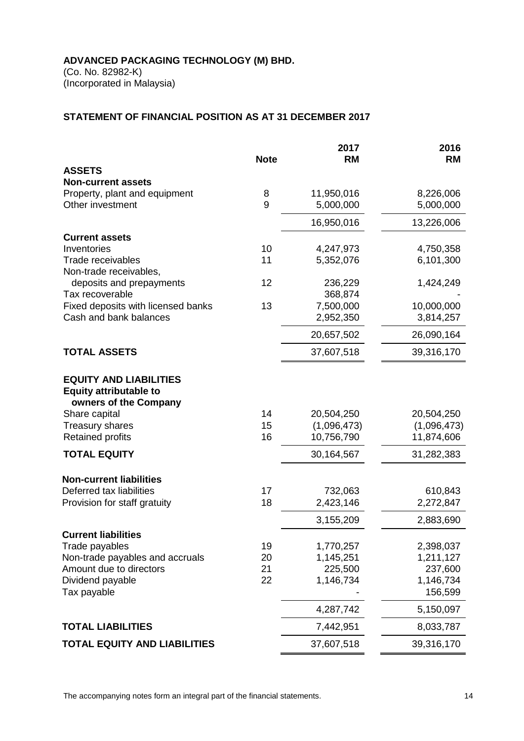(Co. No. 82982-K) (Incorporated in Malaysia)

# **STATEMENT OF FINANCIAL POSITION AS AT 31 DECEMBER 2017**

|                                                        |             | 2017        | 2016                 |
|--------------------------------------------------------|-------------|-------------|----------------------|
|                                                        | <b>Note</b> | <b>RM</b>   | <b>RM</b>            |
| <b>ASSETS</b><br><b>Non-current assets</b>             |             |             |                      |
| Property, plant and equipment                          | 8           | 11,950,016  | 8,226,006            |
| Other investment                                       | 9           | 5,000,000   | 5,000,000            |
|                                                        |             | 16,950,016  | 13,226,006           |
| <b>Current assets</b>                                  |             |             |                      |
| Inventories                                            | 10          | 4,247,973   | 4,750,358            |
| Trade receivables                                      | 11          | 5,352,076   | 6,101,300            |
| Non-trade receivables,                                 |             |             |                      |
| deposits and prepayments                               | 12          | 236,229     | 1,424,249            |
| Tax recoverable                                        |             | 368,874     |                      |
| Fixed deposits with licensed banks                     | 13          | 7,500,000   | 10,000,000           |
| Cash and bank balances                                 |             | 2,952,350   | 3,814,257            |
|                                                        |             | 20,657,502  | 26,090,164           |
| <b>TOTAL ASSETS</b>                                    |             | 37,607,518  | 39,316,170           |
| <b>EQUITY AND LIABILITIES</b>                          |             |             |                      |
| <b>Equity attributable to</b><br>owners of the Company |             |             |                      |
| Share capital                                          | 14          | 20,504,250  | 20,504,250           |
| <b>Treasury shares</b>                                 | 15          | (1,096,473) | (1,096,473)          |
| <b>Retained profits</b>                                | 16          | 10,756,790  | 11,874,606           |
| <b>TOTAL EQUITY</b>                                    |             | 30,164,567  | 31,282,383           |
| <b>Non-current liabilities</b>                         |             |             |                      |
| Deferred tax liabilities                               | 17          | 732,063     | 610,843              |
| Provision for staff gratuity                           | 18          | 2,423,146   | 2,272,847            |
|                                                        |             | 3,155,209   | 2,883,690            |
| <b>Current liabilities</b>                             |             |             |                      |
| Trade payables                                         | 19          | 1,770,257   | 2,398,037            |
| Non-trade payables and accruals                        | 20          | 1,145,251   | 1,211,127            |
| Amount due to directors                                | 21          | 225,500     | 237,600              |
| Dividend payable<br>Tax payable                        | 22          | 1,146,734   | 1,146,734<br>156,599 |
|                                                        |             | 4,287,742   | 5,150,097            |
| <b>TOTAL LIABILITIES</b>                               |             |             |                      |
|                                                        |             | 7,442,951   | 8,033,787            |
| <b>TOTAL EQUITY AND LIABILITIES</b>                    |             | 37,607,518  | 39,316,170           |

The accompanying notes form an integral part of the financial statements. The accompanying notes form an integral part of the financial statements.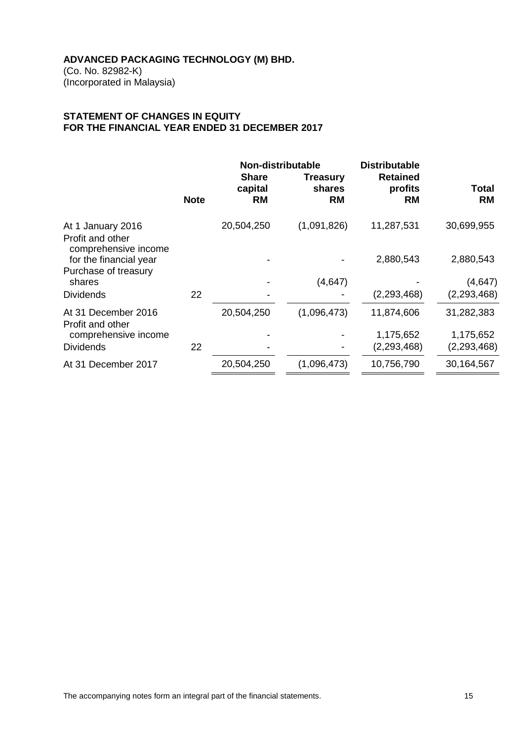(Co. No. 82982-K) (Incorporated in Malaysia)

# **STATEMENT OF CHANGES IN EQUITY FOR THE FINANCIAL YEAR ENDED 31 DECEMBER 2017**

|                                                                                         |             | Non-distributable<br><b>Share</b> |                                        | <b>Distributable</b><br><b>Retained</b> |                           |
|-----------------------------------------------------------------------------------------|-------------|-----------------------------------|----------------------------------------|-----------------------------------------|---------------------------|
|                                                                                         | <b>Note</b> | capital<br><b>RM</b>              | <b>Treasury</b><br>shares<br><b>RM</b> | profits<br>RM                           | Total<br><b>RM</b>        |
| At 1 January 2016<br>Profit and other<br>comprehensive income<br>for the financial year |             | 20,504,250                        | (1,091,826)                            | 11,287,531<br>2,880,543                 | 30,699,955<br>2,880,543   |
| Purchase of treasury<br>shares<br><b>Dividends</b>                                      | 22          |                                   | (4,647)                                | (2,293,468)                             | (4, 647)<br>(2, 293, 468) |
| At 31 December 2016<br>Profit and other<br>comprehensive income                         |             | 20,504,250                        | (1,096,473)                            | 11,874,606<br>1,175,652                 | 31,282,383<br>1,175,652   |
| <b>Dividends</b>                                                                        | 22          |                                   |                                        | (2, 293, 468)                           | (2, 293, 468)             |
| At 31 December 2017                                                                     |             | 20,504,250                        | (1,096,473)                            | 10,756,790                              | 30,164,567                |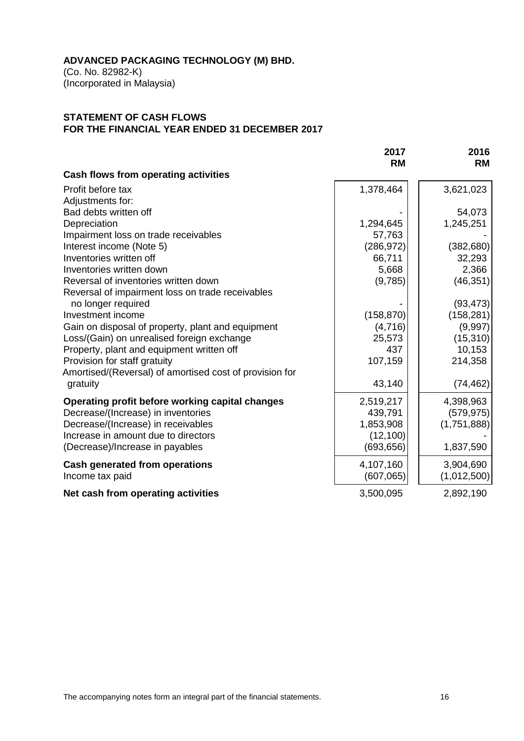(Co. No. 82982-K) (Incorporated in Malaysia)

# **STATEMENT OF CASH FLOWS FOR THE FINANCIAL YEAR ENDED 31 DECEMBER 2017**

|                                                         | 2017<br><b>RM</b> | 2016<br><b>RM</b> |
|---------------------------------------------------------|-------------------|-------------------|
| Cash flows from operating activities                    |                   |                   |
| Profit before tax                                       | 1,378,464         | 3,621,023         |
| Adjustments for:                                        |                   |                   |
| Bad debts written off                                   |                   | 54,073            |
| Depreciation                                            | 1,294,645         | 1,245,251         |
| Impairment loss on trade receivables                    | 57,763            |                   |
| Interest income (Note 5)                                | (286, 972)        | (382, 680)        |
| Inventories written off                                 | 66,711            | 32,293            |
| Inventories written down                                | 5,668             | 2,366             |
| Reversal of inventories written down                    | (9,785)           | (46, 351)         |
| Reversal of impairment loss on trade receivables        |                   |                   |
| no longer required                                      |                   | (93, 473)         |
| Investment income                                       | (158, 870)        | (158, 281)        |
| Gain on disposal of property, plant and equipment       | (4,716)           | (9,997)           |
| Loss/(Gain) on unrealised foreign exchange              | 25,573            | (15, 310)         |
| Property, plant and equipment written off               | 437               | 10,153            |
| Provision for staff gratuity                            | 107,159           | 214,358           |
| Amortised/(Reversal) of amortised cost of provision for |                   |                   |
| gratuity                                                | 43,140            | (74, 462)         |
| Operating profit before working capital changes         | 2,519,217         | 4,398,963         |
| Decrease/(Increase) in inventories                      | 439,791           | (579, 975)        |
| Decrease/(Increase) in receivables                      | 1,853,908         | (1,751,888)       |
| Increase in amount due to directors                     | (12, 100)         |                   |
| (Decrease)/Increase in payables                         | (693, 656)        | 1,837,590         |
| <b>Cash generated from operations</b>                   | 4,107,160         | 3,904,690         |
| Income tax paid                                         | (607,065)         | (1,012,500)       |
| Net cash from operating activities                      | 3,500,095         | 2,892,190         |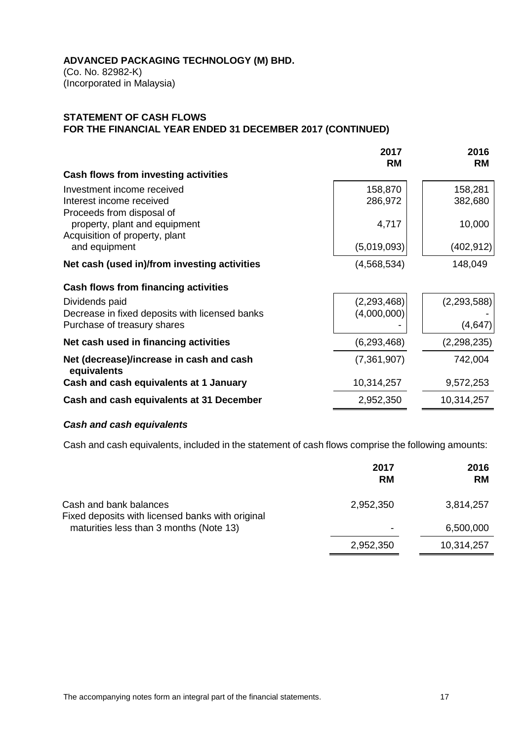(Co. No. 82982-K) (Incorporated in Malaysia)

# **STATEMENT OF CASH FLOWS FOR THE FINANCIAL YEAR ENDED 31 DECEMBER 2017 (CONTINUED)**

|                                                                                                 | 2017<br><b>RM</b>            | 2016<br><b>RM</b>        |
|-------------------------------------------------------------------------------------------------|------------------------------|--------------------------|
| Cash flows from investing activities                                                            |                              |                          |
| Investment income received<br>Interest income received<br>Proceeds from disposal of             | 158,870<br>286,972           | 158,281<br>382,680       |
| property, plant and equipment<br>Acquisition of property, plant<br>and equipment                | 4,717<br>(5,019,093)         | 10,000<br>(402, 912)     |
| Net cash (used in)/from investing activities                                                    | (4,568,534)                  | 148,049                  |
| Cash flows from financing activities                                                            |                              |                          |
| Dividends paid<br>Decrease in fixed deposits with licensed banks<br>Purchase of treasury shares | (2, 293, 468)<br>(4,000,000) | (2, 293, 588)<br>(4,647) |
|                                                                                                 |                              |                          |
| Net cash used in financing activities                                                           | (6,293,468)                  | (2,298,235)              |
| Net (decrease)/increase in cash and cash<br>equivalents                                         | (7,361,907)                  | 742,004                  |
| Cash and cash equivalents at 1 January                                                          | 10,314,257                   | 9,572,253                |
| Cash and cash equivalents at 31 December                                                        | 2,952,350                    | 10,314,257               |

# *Cash and cash equivalents*

Cash and cash equivalents, included in the statement of cash flows comprise the following amounts:

|                                                                            | 2017<br><b>RM</b> | 2016<br><b>RM</b> |
|----------------------------------------------------------------------------|-------------------|-------------------|
| Cash and bank balances<br>Fixed deposits with licensed banks with original | 2,952,350         | 3,814,257         |
| maturities less than 3 months (Note 13)                                    |                   | 6,500,000         |
|                                                                            | 2,952,350         | 10,314,257        |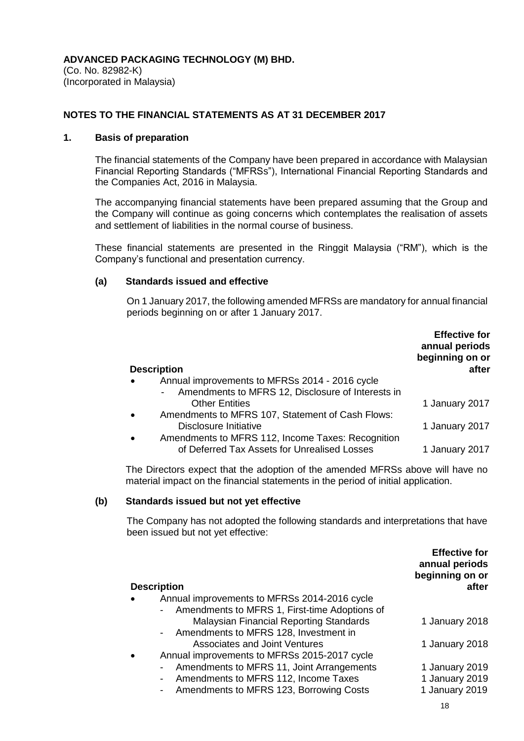(Co. No. 82982-K) (Incorporated in Malaysia)

# **NOTES TO THE FINANCIAL STATEMENTS AS AT 31 DECEMBER 2017**

## **1. Basis of preparation**

The financial statements of the Company have been prepared in accordance with Malaysian Financial Reporting Standards ("MFRSs"), International Financial Reporting Standards and the Companies Act, 2016 in Malaysia.

The accompanying financial statements have been prepared assuming that the Group and the Company will continue as going concerns which contemplates the realisation of assets and settlement of liabilities in the normal course of business.

These financial statements are presented in the Ringgit Malaysia ("RM"), which is the Company's functional and presentation currency.

# **(a) Standards issued and effective**

On 1 January 2017, the following amended MFRSs are mandatory for annual financial periods beginning on or after 1 January 2017.

| <b>Description</b>                                                  | <b>Effective for</b><br>annual periods<br>beginning on or<br>after |
|---------------------------------------------------------------------|--------------------------------------------------------------------|
| Annual improvements to MFRSs 2014 - 2016 cycle<br>$\bullet$         |                                                                    |
| Amendments to MFRS 12, Disclosure of Interests in<br>$\blacksquare$ |                                                                    |
| <b>Other Entities</b>                                               | 1 January 2017                                                     |
| Amendments to MFRS 107, Statement of Cash Flows:<br>$\bullet$       |                                                                    |
| Disclosure Initiative                                               | 1 January 2017                                                     |
| Amendments to MFRS 112, Income Taxes: Recognition<br>$\bullet$      |                                                                    |
| of Deferred Tax Assets for Unrealised Losses                        | 1 January 2017                                                     |

The Directors expect that the adoption of the amended MFRSs above will have no material impact on the financial statements in the period of initial application.

# **(b) Standards issued but not yet effective**

The Company has not adopted the following standards and interpretations that have been issued but not yet effective:

|                                                                                                    | <b>Effective for</b><br>annual periods<br>beginning on or |
|----------------------------------------------------------------------------------------------------|-----------------------------------------------------------|
| <b>Description</b>                                                                                 | after                                                     |
| Annual improvements to MFRSs 2014-2016 cycle<br>Amendments to MFRS 1, First-time Adoptions of      |                                                           |
| Malaysian Financial Reporting Standards<br>Amendments to MFRS 128, Investment in<br>$\blacksquare$ | 1 January 2018                                            |
| <b>Associates and Joint Ventures</b>                                                               | 1 January 2018                                            |
| Annual improvements to MFRSs 2015-2017 cycle                                                       |                                                           |
| Amendments to MFRS 11, Joint Arrangements                                                          | 1 January 2019                                            |
| Amendments to MFRS 112, Income Taxes<br>۰.                                                         | 1 January 2019                                            |
| Amendments to MFRS 123, Borrowing Costs<br>$\overline{\phantom{0}}$                                | 1 January 2019                                            |
|                                                                                                    | 18                                                        |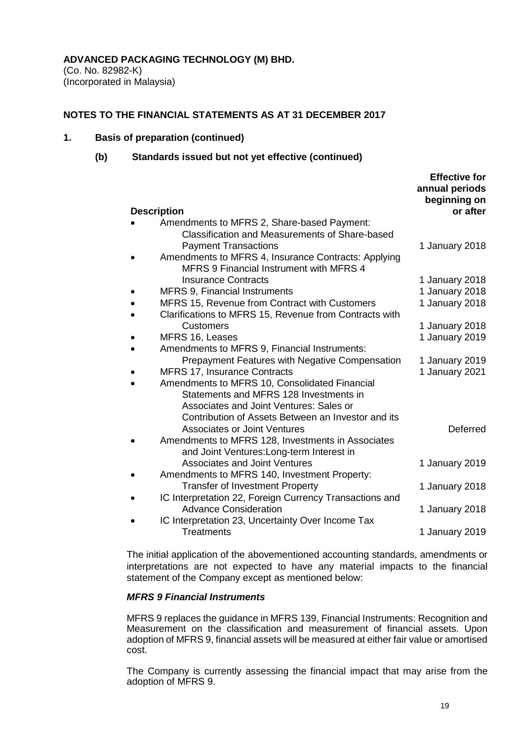(Co. No. 82982-K) (Incorporated in Malaysia)

#### **NOTES TO THE FINANCIAL STATEMENTS AS AT 31 DECEMBER 2017**

#### **1. Basis of preparation (continued)**

#### **(b) Standards issued but not yet effective (continued)**

| <b>Description</b>                                      | <b>ETTECTIVE TOT</b><br>annual periods<br>beginning on<br>or after |
|---------------------------------------------------------|--------------------------------------------------------------------|
| Amendments to MFRS 2, Share-based Payment:              |                                                                    |
| <b>Classification and Measurements of Share-based</b>   |                                                                    |
| <b>Payment Transactions</b>                             | 1 January 2018                                                     |
| Amendments to MFRS 4, Insurance Contracts: Applying     |                                                                    |
| <b>MFRS 9 Financial Instrument with MFRS 4</b>          |                                                                    |
| <b>Insurance Contracts</b>                              | 1 January 2018                                                     |
| <b>MFRS 9, Financial Instruments</b>                    | 1 January 2018                                                     |
| MFRS 15, Revenue from Contract with Customers           | 1 January 2018                                                     |
| Clarifications to MFRS 15, Revenue from Contracts with  |                                                                    |
| <b>Customers</b>                                        | 1 January 2018                                                     |
| MFRS 16, Leases                                         | 1 January 2019                                                     |
| Amendments to MFRS 9, Financial Instruments:            |                                                                    |
| <b>Prepayment Features with Negative Compensation</b>   | 1 January 2019                                                     |
| <b>MFRS 17, Insurance Contracts</b>                     | 1 January 2021                                                     |
| Amendments to MFRS 10, Consolidated Financial           |                                                                    |
| Statements and MFRS 128 Investments in                  |                                                                    |
| Associates and Joint Ventures: Sales or                 |                                                                    |
| Contribution of Assets Between an Investor and its      |                                                                    |
| <b>Associates or Joint Ventures</b>                     | <b>Deferred</b>                                                    |
| Amendments to MFRS 128, Investments in Associates       |                                                                    |
| and Joint Ventures: Long-term Interest in               |                                                                    |
| <b>Associates and Joint Ventures</b>                    | 1 January 2019                                                     |
| Amendments to MFRS 140, Investment Property:            |                                                                    |
| <b>Transfer of Investment Property</b>                  | 1 January 2018                                                     |
| IC Interpretation 22, Foreign Currency Transactions and |                                                                    |
| <b>Advance Consideration</b>                            | 1 January 2018                                                     |
| IC Interpretation 23, Uncertainty Over Income Tax       |                                                                    |
| <b>Treatments</b>                                       | 1 January 2019                                                     |

The initial application of the abovementioned accounting standards, amendments or interpretations are not expected to have any material impacts to the financial statement of the Company except as mentioned below:

# *MFRS 9 Financial Instruments*

MFRS 9 replaces the guidance in MFRS 139, Financial Instruments: Recognition and Measurement on the classification and measurement of financial assets. Upon adoption of MFRS 9, financial assets will be measured at either fair value or amortised cost.

The Company is currently assessing the financial impact that may arise from the adoption of MFRS 9.

**Effective for**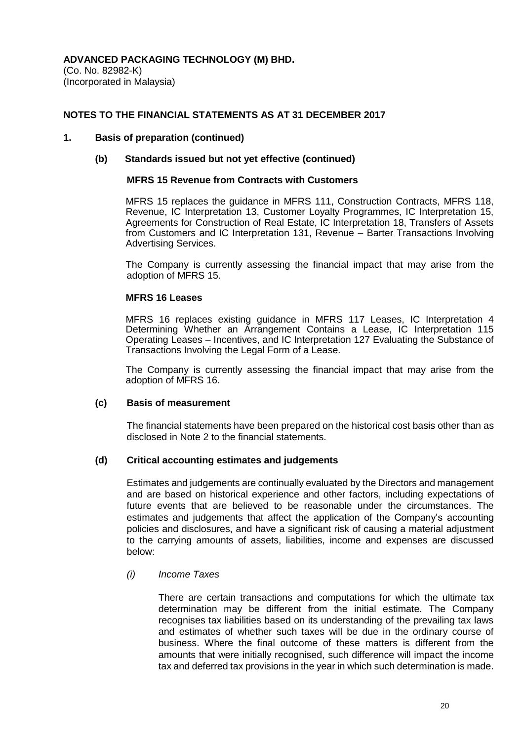### **NOTES TO THE FINANCIAL STATEMENTS AS AT 31 DECEMBER 2017**

#### **1. Basis of preparation (continued)**

#### **(b) Standards issued but not yet effective (continued)**

#### **MFRS 15 Revenue from Contracts with Customers**

MFRS 15 replaces the guidance in MFRS 111, Construction Contracts, MFRS 118, Revenue, IC Interpretation 13, Customer Loyalty Programmes, IC Interpretation 15, Agreements for Construction of Real Estate, IC Interpretation 18, Transfers of Assets from Customers and IC Interpretation 131, Revenue – Barter Transactions Involving Advertising Services.

The Company is currently assessing the financial impact that may arise from the adoption of MFRS 15.

#### **MFRS 16 Leases**

MFRS 16 replaces existing guidance in MFRS 117 Leases, IC Interpretation 4 Determining Whether an Arrangement Contains a Lease, IC Interpretation 115 Operating Leases – Incentives, and IC Interpretation 127 Evaluating the Substance of Transactions Involving the Legal Form of a Lease.

The Company is currently assessing the financial impact that may arise from the adoption of MFRS 16.

#### **(c) Basis of measurement**

The financial statements have been prepared on the historical cost basis other than as disclosed in Note 2 to the financial statements.

# **(d) Critical accounting estimates and judgements**

Estimates and judgements are continually evaluated by the Directors and management and are based on historical experience and other factors, including expectations of future events that are believed to be reasonable under the circumstances. The estimates and judgements that affect the application of the Company's accounting policies and disclosures, and have a significant risk of causing a material adjustment to the carrying amounts of assets, liabilities, income and expenses are discussed below:

# *(i) Income Taxes*

There are certain transactions and computations for which the ultimate tax determination may be different from the initial estimate. The Company recognises tax liabilities based on its understanding of the prevailing tax laws and estimates of whether such taxes will be due in the ordinary course of business. Where the final outcome of these matters is different from the amounts that were initially recognised, such difference will impact the income tax and deferred tax provisions in the year in which such determination is made.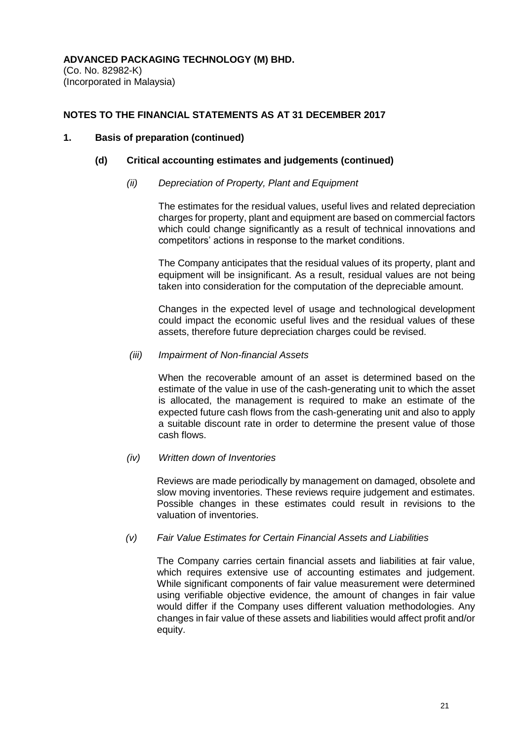# **NOTES TO THE FINANCIAL STATEMENTS AS AT 31 DECEMBER 2017**

# **1. Basis of preparation (continued)**

# **(d) Critical accounting estimates and judgements (continued)**

# *(ii) Depreciation of Property, Plant and Equipment*

The estimates for the residual values, useful lives and related depreciation charges for property, plant and equipment are based on commercial factors which could change significantly as a result of technical innovations and competitors' actions in response to the market conditions.

The Company anticipates that the residual values of its property, plant and equipment will be insignificant. As a result, residual values are not being taken into consideration for the computation of the depreciable amount.

Changes in the expected level of usage and technological development could impact the economic useful lives and the residual values of these assets, therefore future depreciation charges could be revised.

#### *(iii) Impairment of Non-financial Assets*

When the recoverable amount of an asset is determined based on the estimate of the value in use of the cash-generating unit to which the asset is allocated, the management is required to make an estimate of the expected future cash flows from the cash-generating unit and also to apply a suitable discount rate in order to determine the present value of those cash flows.

# *(iv) Written down of Inventories*

Reviews are made periodically by management on damaged, obsolete and slow moving inventories. These reviews require judgement and estimates. Possible changes in these estimates could result in revisions to the valuation of inventories.

# *(v) Fair Value Estimates for Certain Financial Assets and Liabilities*

The Company carries certain financial assets and liabilities at fair value, which requires extensive use of accounting estimates and judgement. While significant components of fair value measurement were determined using verifiable objective evidence, the amount of changes in fair value would differ if the Company uses different valuation methodologies. Any changes in fair value of these assets and liabilities would affect profit and/or equity.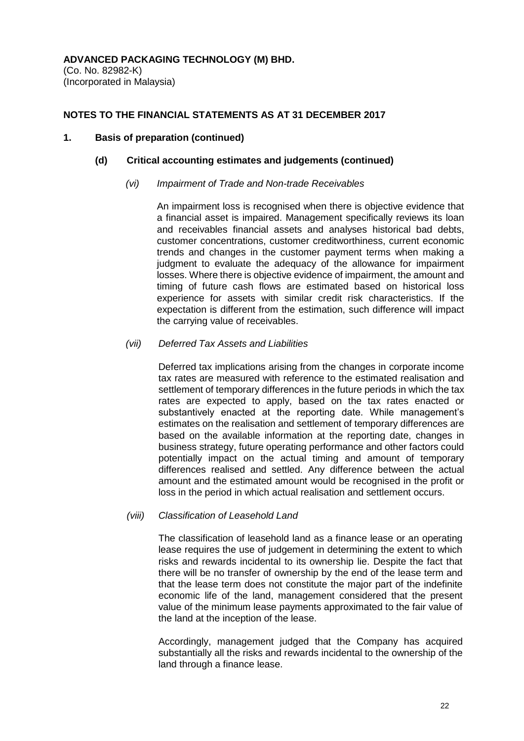# **NOTES TO THE FINANCIAL STATEMENTS AS AT 31 DECEMBER 2017**

## **1. Basis of preparation (continued)**

## **(d) Critical accounting estimates and judgements (continued)**

#### *(vi) Impairment of Trade and Non-trade Receivables*

An impairment loss is recognised when there is objective evidence that a financial asset is impaired. Management specifically reviews its loan and receivables financial assets and analyses historical bad debts, customer concentrations, customer creditworthiness, current economic trends and changes in the customer payment terms when making a judgment to evaluate the adequacy of the allowance for impairment losses. Where there is objective evidence of impairment, the amount and timing of future cash flows are estimated based on historical loss experience for assets with similar credit risk characteristics. If the expectation is different from the estimation, such difference will impact the carrying value of receivables.

# *(vii) Deferred Tax Assets and Liabilities*

Deferred tax implications arising from the changes in corporate income tax rates are measured with reference to the estimated realisation and settlement of temporary differences in the future periods in which the tax rates are expected to apply, based on the tax rates enacted or substantively enacted at the reporting date. While management's estimates on the realisation and settlement of temporary differences are based on the available information at the reporting date, changes in business strategy, future operating performance and other factors could potentially impact on the actual timing and amount of temporary differences realised and settled. Any difference between the actual amount and the estimated amount would be recognised in the profit or loss in the period in which actual realisation and settlement occurs.

# *(viii) Classification of Leasehold Land*

The classification of leasehold land as a finance lease or an operating lease requires the use of judgement in determining the extent to which risks and rewards incidental to its ownership lie. Despite the fact that there will be no transfer of ownership by the end of the lease term and that the lease term does not constitute the major part of the indefinite economic life of the land, management considered that the present value of the minimum lease payments approximated to the fair value of the land at the inception of the lease.

Accordingly, management judged that the Company has acquired substantially all the risks and rewards incidental to the ownership of the land through a finance lease.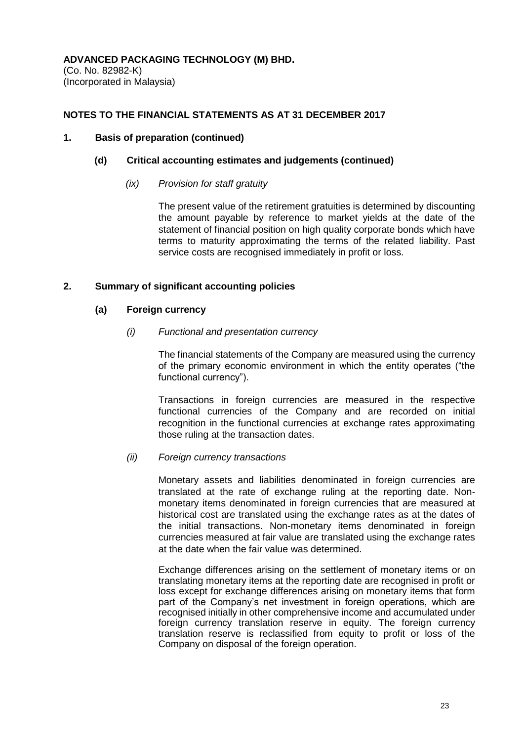# **NOTES TO THE FINANCIAL STATEMENTS AS AT 31 DECEMBER 2017**

## **1. Basis of preparation (continued)**

## **(d) Critical accounting estimates and judgements (continued)**

### *(ix) Provision for staff gratuity*

The present value of the retirement gratuities is determined by discounting the amount payable by reference to market yields at the date of the statement of financial position on high quality corporate bonds which have terms to maturity approximating the terms of the related liability. Past service costs are recognised immediately in profit or loss.

# **2. Summary of significant accounting policies**

#### **(a) Foreign currency**

#### *(i) Functional and presentation currency*

The financial statements of the Company are measured using the currency of the primary economic environment in which the entity operates ("the functional currency").

Transactions in foreign currencies are measured in the respective functional currencies of the Company and are recorded on initial recognition in the functional currencies at exchange rates approximating those ruling at the transaction dates.

# *(ii) Foreign currency transactions*

Monetary assets and liabilities denominated in foreign currencies are translated at the rate of exchange ruling at the reporting date. Nonmonetary items denominated in foreign currencies that are measured at historical cost are translated using the exchange rates as at the dates of the initial transactions. Non-monetary items denominated in foreign currencies measured at fair value are translated using the exchange rates at the date when the fair value was determined.

Exchange differences arising on the settlement of monetary items or on translating monetary items at the reporting date are recognised in profit or loss except for exchange differences arising on monetary items that form part of the Company's net investment in foreign operations, which are recognised initially in other comprehensive income and accumulated under foreign currency translation reserve in equity. The foreign currency translation reserve is reclassified from equity to profit or loss of the Company on disposal of the foreign operation.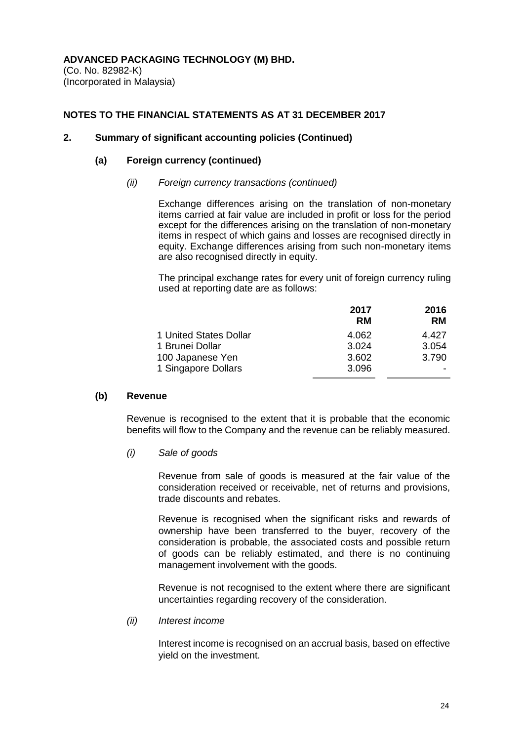(Co. No. 82982-K) (Incorporated in Malaysia)

# **NOTES TO THE FINANCIAL STATEMENTS AS AT 31 DECEMBER 2017**

#### **2. Summary of significant accounting policies (Continued)**

#### **(a) Foreign currency (continued)**

#### *(ii) Foreign currency transactions (continued)*

Exchange differences arising on the translation of non-monetary items carried at fair value are included in profit or loss for the period except for the differences arising on the translation of non-monetary items in respect of which gains and losses are recognised directly in equity. Exchange differences arising from such non-monetary items are also recognised directly in equity.

The principal exchange rates for every unit of foreign currency ruling used at reporting date are as follows:

|                        | 2017  | 2016      |
|------------------------|-------|-----------|
|                        | RM    | <b>RM</b> |
| 1 United States Dollar | 4.062 | 4.427     |
| 1 Brunei Dollar        | 3.024 | 3.054     |
| 100 Japanese Yen       | 3.602 | 3.790     |
| 1 Singapore Dollars    | 3.096 |           |

#### **(b) Revenue**

Revenue is recognised to the extent that it is probable that the economic benefits will flow to the Company and the revenue can be reliably measured.

*(i) Sale of goods*

Revenue from sale of goods is measured at the fair value of the consideration received or receivable, net of returns and provisions, trade discounts and rebates.

Revenue is recognised when the significant risks and rewards of ownership have been transferred to the buyer, recovery of the consideration is probable, the associated costs and possible return of goods can be reliably estimated, and there is no continuing management involvement with the goods.

Revenue is not recognised to the extent where there are significant uncertainties regarding recovery of the consideration.

*(ii) Interest income*

Interest income is recognised on an accrual basis, based on effective yield on the investment.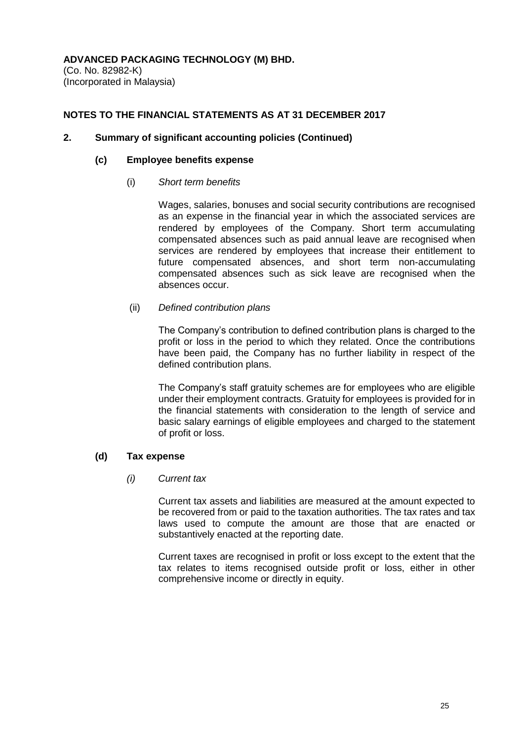(Co. No. 82982-K) (Incorporated in Malaysia)

# **NOTES TO THE FINANCIAL STATEMENTS AS AT 31 DECEMBER 2017**

## **2. Summary of significant accounting policies (Continued)**

#### **(c) Employee benefits expense**

#### (i) *Short term benefits*

Wages, salaries, bonuses and social security contributions are recognised as an expense in the financial year in which the associated services are rendered by employees of the Company. Short term accumulating compensated absences such as paid annual leave are recognised when services are rendered by employees that increase their entitlement to future compensated absences, and short term non-accumulating compensated absences such as sick leave are recognised when the absences occur.

# (ii) *Defined contribution plans*

The Company's contribution to defined contribution plans is charged to the profit or loss in the period to which they related. Once the contributions have been paid, the Company has no further liability in respect of the defined contribution plans.

The Company's staff gratuity schemes are for employees who are eligible under their employment contracts. Gratuity for employees is provided for in the financial statements with consideration to the length of service and basic salary earnings of eligible employees and charged to the statement of profit or loss.

# **(d) Tax expense**

#### *(i) Current tax*

Current tax assets and liabilities are measured at the amount expected to be recovered from or paid to the taxation authorities. The tax rates and tax laws used to compute the amount are those that are enacted or substantively enacted at the reporting date.

Current taxes are recognised in profit or loss except to the extent that the tax relates to items recognised outside profit or loss, either in other comprehensive income or directly in equity.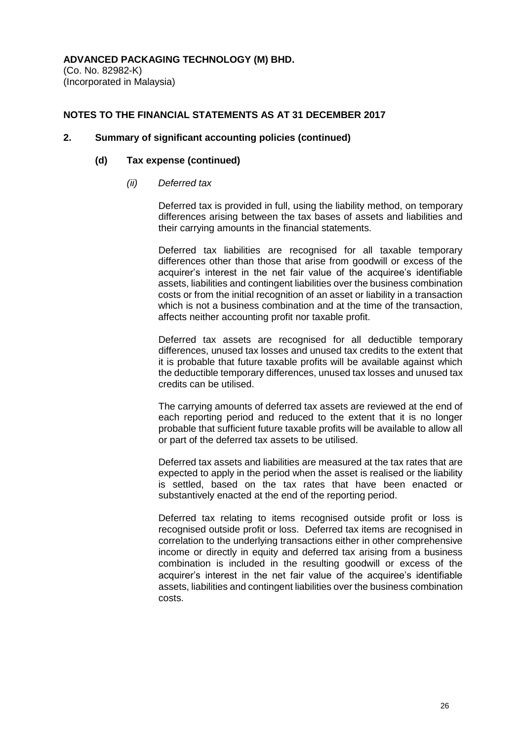(Co. No. 82982-K) (Incorporated in Malaysia)

# **NOTES TO THE FINANCIAL STATEMENTS AS AT 31 DECEMBER 2017**

## **2. Summary of significant accounting policies (continued)**

## **(d) Tax expense (continued)**

#### *(ii) Deferred tax*

Deferred tax is provided in full, using the liability method, on temporary differences arising between the tax bases of assets and liabilities and their carrying amounts in the financial statements.

Deferred tax liabilities are recognised for all taxable temporary differences other than those that arise from goodwill or excess of the acquirer's interest in the net fair value of the acquiree's identifiable assets, liabilities and contingent liabilities over the business combination costs or from the initial recognition of an asset or liability in a transaction which is not a business combination and at the time of the transaction. affects neither accounting profit nor taxable profit.

Deferred tax assets are recognised for all deductible temporary differences, unused tax losses and unused tax credits to the extent that it is probable that future taxable profits will be available against which the deductible temporary differences, unused tax losses and unused tax credits can be utilised.

The carrying amounts of deferred tax assets are reviewed at the end of each reporting period and reduced to the extent that it is no longer probable that sufficient future taxable profits will be available to allow all or part of the deferred tax assets to be utilised.

Deferred tax assets and liabilities are measured at the tax rates that are expected to apply in the period when the asset is realised or the liability is settled, based on the tax rates that have been enacted or substantively enacted at the end of the reporting period.

Deferred tax relating to items recognised outside profit or loss is recognised outside profit or loss. Deferred tax items are recognised in correlation to the underlying transactions either in other comprehensive income or directly in equity and deferred tax arising from a business combination is included in the resulting goodwill or excess of the acquirer's interest in the net fair value of the acquiree's identifiable assets, liabilities and contingent liabilities over the business combination costs.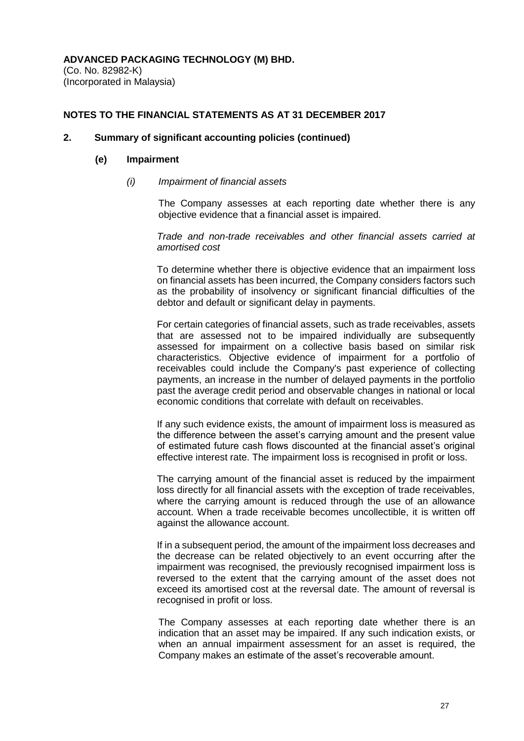(Co. No. 82982-K) (Incorporated in Malaysia)

### **NOTES TO THE FINANCIAL STATEMENTS AS AT 31 DECEMBER 2017**

# **2. Summary of significant accounting policies (continued)**

#### **(e) Impairment**

*(i) Impairment of financial assets*

The Company assesses at each reporting date whether there is any objective evidence that a financial asset is impaired.

*Trade and non-trade receivables and other financial assets carried at amortised cost*

To determine whether there is objective evidence that an impairment loss on financial assets has been incurred, the Company considers factors such as the probability of insolvency or significant financial difficulties of the debtor and default or significant delay in payments.

For certain categories of financial assets, such as trade receivables, assets that are assessed not to be impaired individually are subsequently assessed for impairment on a collective basis based on similar risk characteristics. Objective evidence of impairment for a portfolio of receivables could include the Company's past experience of collecting payments, an increase in the number of delayed payments in the portfolio past the average credit period and observable changes in national or local economic conditions that correlate with default on receivables.

If any such evidence exists, the amount of impairment loss is measured as the difference between the asset's carrying amount and the present value of estimated future cash flows discounted at the financial asset's original effective interest rate. The impairment loss is recognised in profit or loss.

The carrying amount of the financial asset is reduced by the impairment loss directly for all financial assets with the exception of trade receivables, where the carrying amount is reduced through the use of an allowance account. When a trade receivable becomes uncollectible, it is written off against the allowance account.

If in a subsequent period, the amount of the impairment loss decreases and the decrease can be related objectively to an event occurring after the impairment was recognised, the previously recognised impairment loss is reversed to the extent that the carrying amount of the asset does not exceed its amortised cost at the reversal date. The amount of reversal is recognised in profit or loss.

The Company assesses at each reporting date whether there is an indication that an asset may be impaired. If any such indication exists, or when an annual impairment assessment for an asset is required, the Company makes an estimate of the asset's recoverable amount.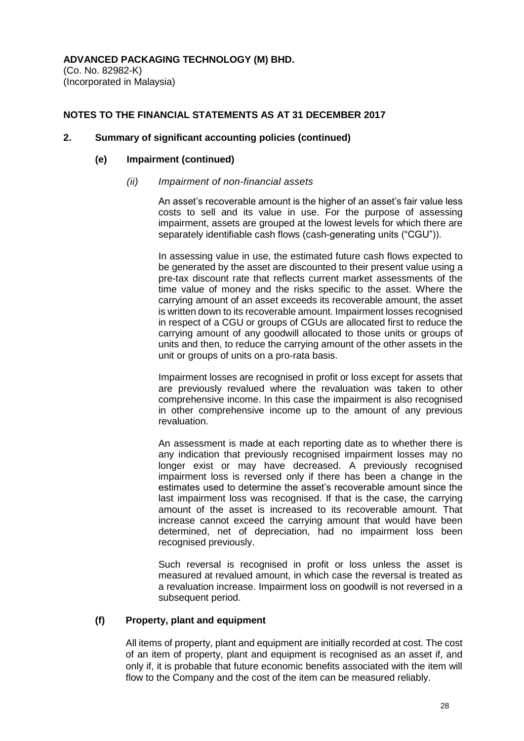(Co. No. 82982-K) (Incorporated in Malaysia)

# **NOTES TO THE FINANCIAL STATEMENTS AS AT 31 DECEMBER 2017**

## **2. Summary of significant accounting policies (continued)**

#### **(e) Impairment (continued)**

### *(ii) Impairment of non-financial assets*

An asset's recoverable amount is the higher of an asset's fair value less costs to sell and its value in use. For the purpose of assessing impairment, assets are grouped at the lowest levels for which there are separately identifiable cash flows (cash-generating units ("CGU")).

In assessing value in use, the estimated future cash flows expected to be generated by the asset are discounted to their present value using a pre-tax discount rate that reflects current market assessments of the time value of money and the risks specific to the asset. Where the carrying amount of an asset exceeds its recoverable amount, the asset is written down to its recoverable amount. Impairment losses recognised in respect of a CGU or groups of CGUs are allocated first to reduce the carrying amount of any goodwill allocated to those units or groups of units and then, to reduce the carrying amount of the other assets in the unit or groups of units on a pro-rata basis.

Impairment losses are recognised in profit or loss except for assets that are previously revalued where the revaluation was taken to other comprehensive income. In this case the impairment is also recognised in other comprehensive income up to the amount of any previous revaluation.

An assessment is made at each reporting date as to whether there is any indication that previously recognised impairment losses may no longer exist or may have decreased. A previously recognised impairment loss is reversed only if there has been a change in the estimates used to determine the asset's recoverable amount since the last impairment loss was recognised. If that is the case, the carrying amount of the asset is increased to its recoverable amount. That increase cannot exceed the carrying amount that would have been determined, net of depreciation, had no impairment loss been recognised previously.

Such reversal is recognised in profit or loss unless the asset is measured at revalued amount, in which case the reversal is treated as a revaluation increase. Impairment loss on goodwill is not reversed in a subsequent period.

# **(f) Property, plant and equipment**

All items of property, plant and equipment are initially recorded at cost. The cost of an item of property, plant and equipment is recognised as an asset if, and only if, it is probable that future economic benefits associated with the item will flow to the Company and the cost of the item can be measured reliably.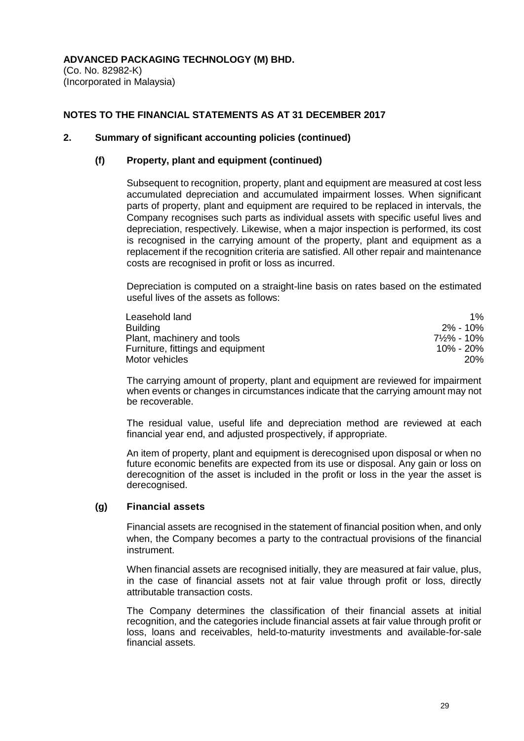(Co. No. 82982-K) (Incorporated in Malaysia)

# **NOTES TO THE FINANCIAL STATEMENTS AS AT 31 DECEMBER 2017**

## **2. Summary of significant accounting policies (continued)**

## **(f) Property, plant and equipment (continued)**

Subsequent to recognition, property, plant and equipment are measured at cost less accumulated depreciation and accumulated impairment losses. When significant parts of property, plant and equipment are required to be replaced in intervals, the Company recognises such parts as individual assets with specific useful lives and depreciation, respectively. Likewise, when a major inspection is performed, its cost is recognised in the carrying amount of the property, plant and equipment as a replacement if the recognition criteria are satisfied. All other repair and maintenance costs are recognised in profit or loss as incurred.

Depreciation is computed on a straight-line basis on rates based on the estimated useful lives of the assets as follows:

| Leasehold land                    | 1%        |
|-----------------------------------|-----------|
| <b>Building</b>                   | 2% - 10%  |
| Plant, machinery and tools        | 7½% - 10% |
| Furniture, fittings and equipment | 10% - 20% |
| Motor vehicles                    | 20%       |

The carrying amount of property, plant and equipment are reviewed for impairment when events or changes in circumstances indicate that the carrying amount may not be recoverable.

The residual value, useful life and depreciation method are reviewed at each financial year end, and adjusted prospectively, if appropriate.

An item of property, plant and equipment is derecognised upon disposal or when no future economic benefits are expected from its use or disposal. Any gain or loss on derecognition of the asset is included in the profit or loss in the year the asset is derecognised.

# **(g) Financial assets**

Financial assets are recognised in the statement of financial position when, and only when, the Company becomes a party to the contractual provisions of the financial instrument.

When financial assets are recognised initially, they are measured at fair value, plus, in the case of financial assets not at fair value through profit or loss, directly attributable transaction costs.

The Company determines the classification of their financial assets at initial recognition, and the categories include financial assets at fair value through profit or loss, loans and receivables, held-to-maturity investments and available-for-sale financial assets.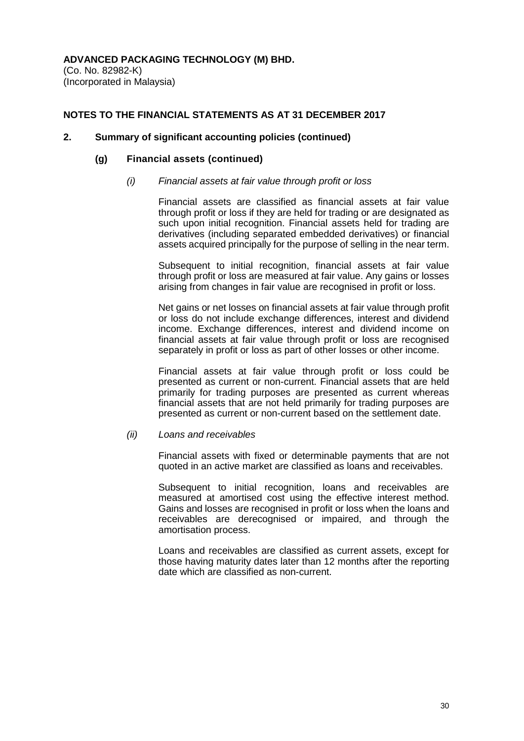(Co. No. 82982-K) (Incorporated in Malaysia)

### **NOTES TO THE FINANCIAL STATEMENTS AS AT 31 DECEMBER 2017**

#### **2. Summary of significant accounting policies (continued)**

#### **(g) Financial assets (continued)**

*(i) Financial assets at fair value through profit or loss*

Financial assets are classified as financial assets at fair value through profit or loss if they are held for trading or are designated as such upon initial recognition. Financial assets held for trading are derivatives (including separated embedded derivatives) or financial assets acquired principally for the purpose of selling in the near term.

Subsequent to initial recognition, financial assets at fair value through profit or loss are measured at fair value. Any gains or losses arising from changes in fair value are recognised in profit or loss.

Net gains or net losses on financial assets at fair value through profit or loss do not include exchange differences, interest and dividend income. Exchange differences, interest and dividend income on financial assets at fair value through profit or loss are recognised separately in profit or loss as part of other losses or other income.

Financial assets at fair value through profit or loss could be presented as current or non-current. Financial assets that are held primarily for trading purposes are presented as current whereas financial assets that are not held primarily for trading purposes are presented as current or non-current based on the settlement date.

#### *(ii) Loans and receivables*

Financial assets with fixed or determinable payments that are not quoted in an active market are classified as loans and receivables.

Subsequent to initial recognition, loans and receivables are measured at amortised cost using the effective interest method. Gains and losses are recognised in profit or loss when the loans and receivables are derecognised or impaired, and through the amortisation process.

Loans and receivables are classified as current assets, except for those having maturity dates later than 12 months after the reporting date which are classified as non-current.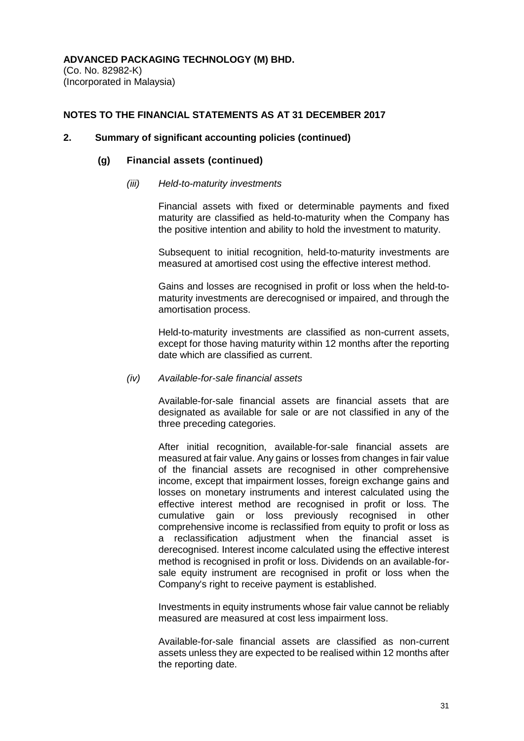(Co. No. 82982-K) (Incorporated in Malaysia)

### **NOTES TO THE FINANCIAL STATEMENTS AS AT 31 DECEMBER 2017**

#### **2. Summary of significant accounting policies (continued)**

#### **(g) Financial assets (continued)**

#### *(iii) Held-to-maturity investments*

Financial assets with fixed or determinable payments and fixed maturity are classified as held-to-maturity when the Company has the positive intention and ability to hold the investment to maturity.

Subsequent to initial recognition, held-to-maturity investments are measured at amortised cost using the effective interest method.

Gains and losses are recognised in profit or loss when the held-tomaturity investments are derecognised or impaired, and through the amortisation process.

Held-to-maturity investments are classified as non-current assets, except for those having maturity within 12 months after the reporting date which are classified as current.

#### *(iv) Available-for-sale financial assets*

Available-for-sale financial assets are financial assets that are designated as available for sale or are not classified in any of the three preceding categories.

After initial recognition, available-for-sale financial assets are measured at fair value. Any gains or losses from changes in fair value of the financial assets are recognised in other comprehensive income, except that impairment losses, foreign exchange gains and losses on monetary instruments and interest calculated using the effective interest method are recognised in profit or loss. The cumulative gain or loss previously recognised in other comprehensive income is reclassified from equity to profit or loss as a reclassification adjustment when the financial asset is derecognised. Interest income calculated using the effective interest method is recognised in profit or loss. Dividends on an available-forsale equity instrument are recognised in profit or loss when the Company's right to receive payment is established.

Investments in equity instruments whose fair value cannot be reliably measured are measured at cost less impairment loss.

Available-for-sale financial assets are classified as non-current assets unless they are expected to be realised within 12 months after the reporting date.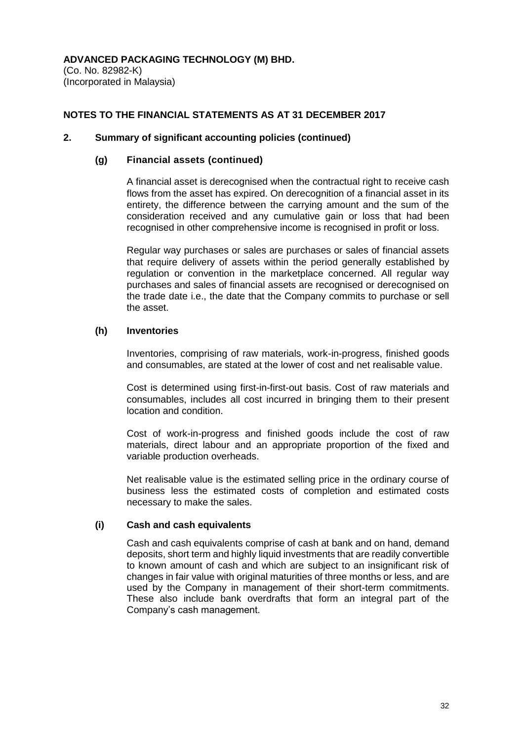(Co. No. 82982-K) (Incorporated in Malaysia)

# **NOTES TO THE FINANCIAL STATEMENTS AS AT 31 DECEMBER 2017**

## **2. Summary of significant accounting policies (continued)**

# **(g) Financial assets (continued)**

A financial asset is derecognised when the contractual right to receive cash flows from the asset has expired. On derecognition of a financial asset in its entirety, the difference between the carrying amount and the sum of the consideration received and any cumulative gain or loss that had been recognised in other comprehensive income is recognised in profit or loss.

Regular way purchases or sales are purchases or sales of financial assets that require delivery of assets within the period generally established by regulation or convention in the marketplace concerned. All regular way purchases and sales of financial assets are recognised or derecognised on the trade date i.e., the date that the Company commits to purchase or sell the asset.

# **(h) Inventories**

Inventories, comprising of raw materials, work-in-progress, finished goods and consumables, are stated at the lower of cost and net realisable value.

Cost is determined using first-in-first-out basis. Cost of raw materials and consumables, includes all cost incurred in bringing them to their present location and condition.

Cost of work-in-progress and finished goods include the cost of raw materials, direct labour and an appropriate proportion of the fixed and variable production overheads.

Net realisable value is the estimated selling price in the ordinary course of business less the estimated costs of completion and estimated costs necessary to make the sales.

# **(i) Cash and cash equivalents**

Cash and cash equivalents comprise of cash at bank and on hand, demand deposits, short term and highly liquid investments that are readily convertible to known amount of cash and which are subject to an insignificant risk of changes in fair value with original maturities of three months or less, and are used by the Company in management of their short-term commitments. These also include bank overdrafts that form an integral part of the Company's cash management.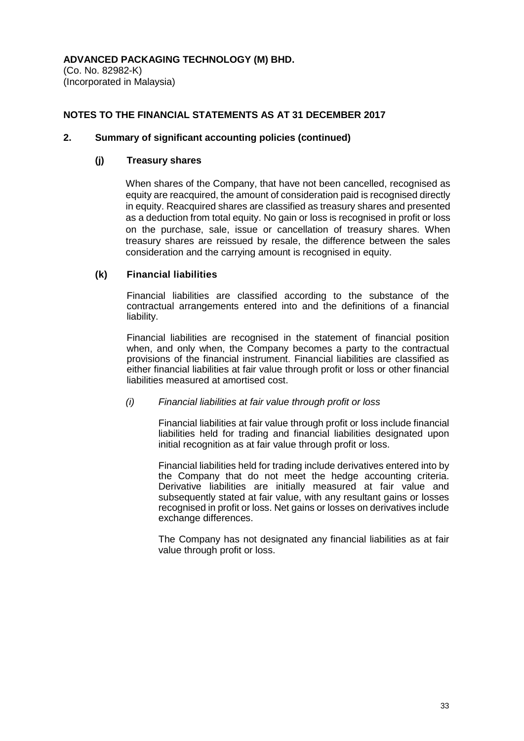(Co. No. 82982-K) (Incorporated in Malaysia)

# **NOTES TO THE FINANCIAL STATEMENTS AS AT 31 DECEMBER 2017**

## **2. Summary of significant accounting policies (continued)**

# **(j) Treasury shares**

When shares of the Company, that have not been cancelled, recognised as equity are reacquired, the amount of consideration paid is recognised directly in equity. Reacquired shares are classified as treasury shares and presented as a deduction from total equity. No gain or loss is recognised in profit or loss on the purchase, sale, issue or cancellation of treasury shares. When treasury shares are reissued by resale, the difference between the sales consideration and the carrying amount is recognised in equity.

# **(k) Financial liabilities**

Financial liabilities are classified according to the substance of the contractual arrangements entered into and the definitions of a financial liability.

Financial liabilities are recognised in the statement of financial position when, and only when, the Company becomes a party to the contractual provisions of the financial instrument. Financial liabilities are classified as either financial liabilities at fair value through profit or loss or other financial liabilities measured at amortised cost.

# *(i) Financial liabilities at fair value through profit or loss*

Financial liabilities at fair value through profit or loss include financial liabilities held for trading and financial liabilities designated upon initial recognition as at fair value through profit or loss.

Financial liabilities held for trading include derivatives entered into by the Company that do not meet the hedge accounting criteria. Derivative liabilities are initially measured at fair value and subsequently stated at fair value, with any resultant gains or losses recognised in profit or loss. Net gains or losses on derivatives include exchange differences.

The Company has not designated any financial liabilities as at fair value through profit or loss.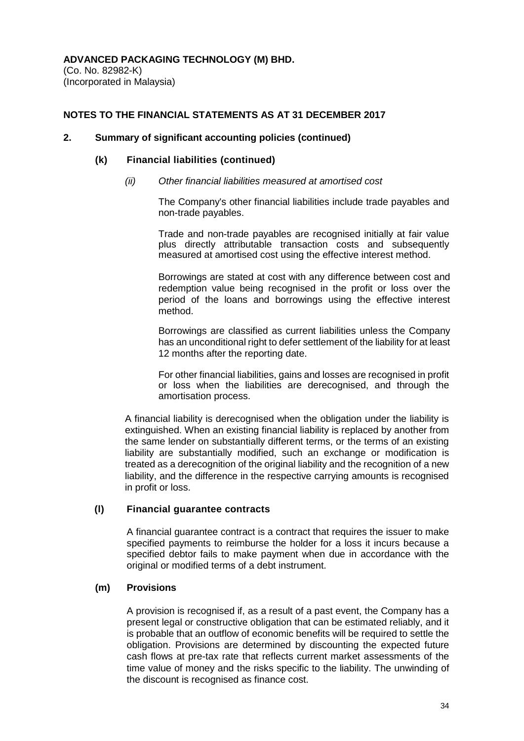(Co. No. 82982-K) (Incorporated in Malaysia)

# **NOTES TO THE FINANCIAL STATEMENTS AS AT 31 DECEMBER 2017**

#### **2. Summary of significant accounting policies (continued)**

#### **(k) Financial liabilities (continued)**

*(ii) Other financial liabilities measured at amortised cost*

The Company's other financial liabilities include trade payables and non-trade payables.

Trade and non-trade payables are recognised initially at fair value plus directly attributable transaction costs and subsequently measured at amortised cost using the effective interest method.

Borrowings are stated at cost with any difference between cost and redemption value being recognised in the profit or loss over the period of the loans and borrowings using the effective interest method.

Borrowings are classified as current liabilities unless the Company has an unconditional right to defer settlement of the liability for at least 12 months after the reporting date.

For other financial liabilities, gains and losses are recognised in profit or loss when the liabilities are derecognised, and through the amortisation process.

A financial liability is derecognised when the obligation under the liability is extinguished. When an existing financial liability is replaced by another from the same lender on substantially different terms, or the terms of an existing liability are substantially modified, such an exchange or modification is treated as a derecognition of the original liability and the recognition of a new liability, and the difference in the respective carrying amounts is recognised in profit or loss.

#### **(l) Financial guarantee contracts**

A financial guarantee contract is a contract that requires the issuer to make specified payments to reimburse the holder for a loss it incurs because a specified debtor fails to make payment when due in accordance with the original or modified terms of a debt instrument.

#### **(m) Provisions**

A provision is recognised if, as a result of a past event, the Company has a present legal or constructive obligation that can be estimated reliably, and it is probable that an outflow of economic benefits will be required to settle the obligation. Provisions are determined by discounting the expected future cash flows at pre-tax rate that reflects current market assessments of the time value of money and the risks specific to the liability. The unwinding of the discount is recognised as finance cost.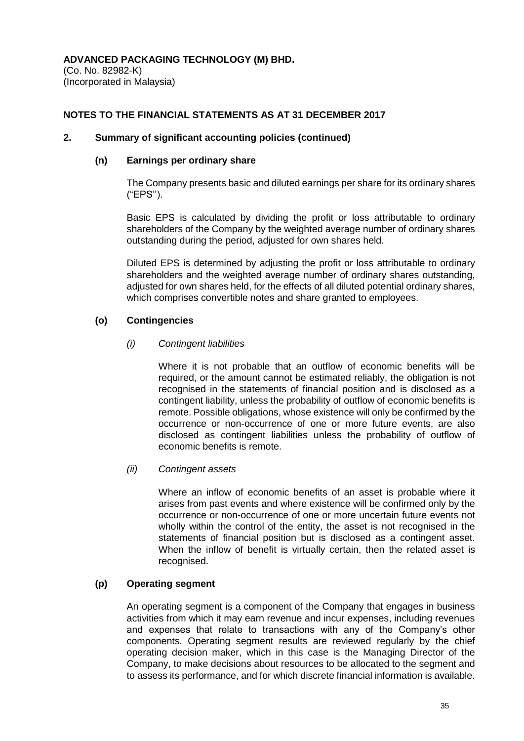(Co. No. 82982-K) (Incorporated in Malaysia)

# **NOTES TO THE FINANCIAL STATEMENTS AS AT 31 DECEMBER 2017**

# **2. Summary of significant accounting policies (continued)**

#### **(n) Earnings per ordinary share**

The Company presents basic and diluted earnings per share for its ordinary shares ("EPS'').

Basic EPS is calculated by dividing the profit or loss attributable to ordinary shareholders of the Company by the weighted average number of ordinary shares outstanding during the period, adjusted for own shares held.

Diluted EPS is determined by adjusting the profit or loss attributable to ordinary shareholders and the weighted average number of ordinary shares outstanding, adjusted for own shares held, for the effects of all diluted potential ordinary shares, which comprises convertible notes and share granted to employees.

# **(o) Contingencies**

# *(i) Contingent liabilities*

Where it is not probable that an outflow of economic benefits will be required, or the amount cannot be estimated reliably, the obligation is not recognised in the statements of financial position and is disclosed as a contingent liability, unless the probability of outflow of economic benefits is remote. Possible obligations, whose existence will only be confirmed by the occurrence or non-occurrence of one or more future events, are also disclosed as contingent liabilities unless the probability of outflow of economic benefits is remote.

# *(ii) Contingent assets*

Where an inflow of economic benefits of an asset is probable where it arises from past events and where existence will be confirmed only by the occurrence or non-occurrence of one or more uncertain future events not wholly within the control of the entity, the asset is not recognised in the statements of financial position but is disclosed as a contingent asset. When the inflow of benefit is virtually certain, then the related asset is recognised.

# **(p) Operating segment**

An operating segment is a component of the Company that engages in business activities from which it may earn revenue and incur expenses, including revenues and expenses that relate to transactions with any of the Company's other components. Operating segment results are reviewed regularly by the chief operating decision maker, which in this case is the Managing Director of the Company, to make decisions about resources to be allocated to the segment and to assess its performance, and for which discrete financial information is available.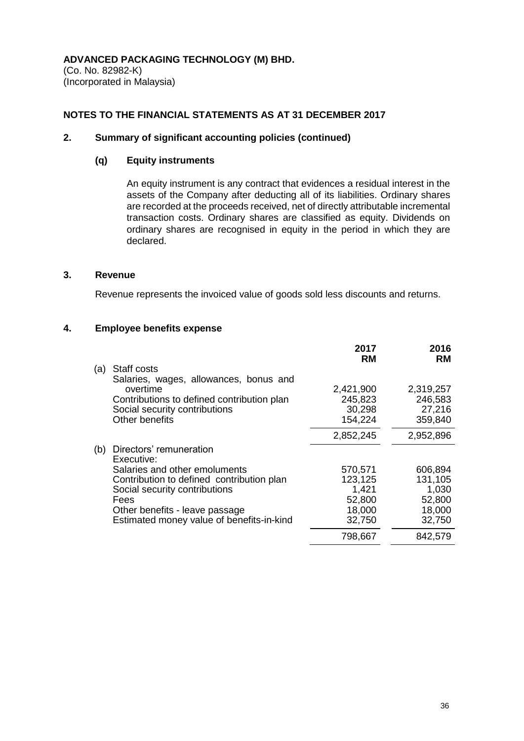(Co. No. 82982-K) (Incorporated in Malaysia)

# **NOTES TO THE FINANCIAL STATEMENTS AS AT 31 DECEMBER 2017**

# **2. Summary of significant accounting policies (continued)**

#### **(q) Equity instruments**

An equity instrument is any contract that evidences a residual interest in the assets of the Company after deducting all of its liabilities. Ordinary shares are recorded at the proceeds received, net of directly attributable incremental transaction costs. Ordinary shares are classified as equity. Dividends on ordinary shares are recognised in equity in the period in which they are declared.

#### **3. Revenue**

Revenue represents the invoiced value of goods sold less discounts and returns.

#### **4. Employee benefits expense**

|     |                                            | 2017<br><b>RM</b> | 2016<br><b>RM</b> |
|-----|--------------------------------------------|-------------------|-------------------|
| (a) | Staff costs                                |                   |                   |
|     | Salaries, wages, allowances, bonus and     |                   |                   |
|     | overtime                                   | 2,421,900         | 2,319,257         |
|     | Contributions to defined contribution plan | 245,823           | 246,583           |
|     | Social security contributions              | 30,298            | 27,216            |
|     | Other benefits                             | 154,224           | 359,840           |
|     |                                            | 2,852,245         | 2,952,896         |
| (b) | Directors' remuneration                    |                   |                   |
|     | Executive:                                 |                   |                   |
|     | Salaries and other emoluments              | 570,571           | 606,894           |
|     | Contribution to defined contribution plan  | 123,125           | 131,105           |
|     | Social security contributions              | 1,421             | 1,030             |
|     | Fees                                       | 52,800            | 52,800            |
|     | Other benefits - leave passage             | 18,000            | 18,000            |
|     | Estimated money value of benefits-in-kind  | 32,750            | 32,750            |
|     |                                            | 798,667           | 842,579           |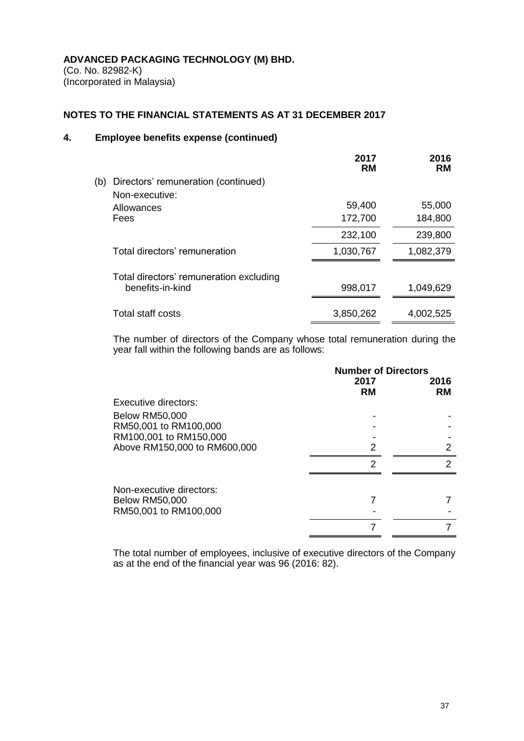(Co. No. 82982-K) (Incorporated in Malaysia)

# **NOTES TO THE FINANCIAL STATEMENTS AS AT 31 DECEMBER 2017**

# **4. Employee benefits expense (continued)**

|     |                                                             | 2017<br><b>RM</b> | 2016<br><b>RM</b> |
|-----|-------------------------------------------------------------|-------------------|-------------------|
| (b) | Directors' remuneration (continued)                         |                   |                   |
|     | Non-executive:                                              |                   |                   |
|     | Allowances                                                  | 59,400            | 55,000            |
|     | Fees                                                        | 172,700           | 184,800           |
|     |                                                             | 232,100           | 239,800           |
|     | Total directors' remuneration                               | 1,030,767         | 1,082,379         |
|     |                                                             |                   |                   |
|     | Total directors' remuneration excluding<br>benefits-in-kind | 998,017           | 1,049,629         |
|     |                                                             |                   |                   |
|     | Total staff costs                                           | 3,850,262         | 4,002,525         |

The number of directors of the Company whose total remuneration during the year fall within the following bands are as follows:

|                              | <b>Number of Directors</b> |                   |
|------------------------------|----------------------------|-------------------|
|                              | 2017<br><b>RM</b>          | 2016<br><b>RM</b> |
| Executive directors:         |                            |                   |
| <b>Below RM50,000</b>        |                            |                   |
| RM50,001 to RM100,000        |                            |                   |
| RM100,001 to RM150,000       |                            |                   |
| Above RM150,000 to RM600,000 | 2                          | 2                 |
|                              | 2                          | 2                 |
| Non-executive directors:     |                            |                   |
| <b>Below RM50,000</b>        |                            |                   |
| RM50,001 to RM100,000        |                            |                   |
|                              |                            |                   |

The total number of employees, inclusive of executive directors of the Company as at the end of the financial year was 96 (2016: 82).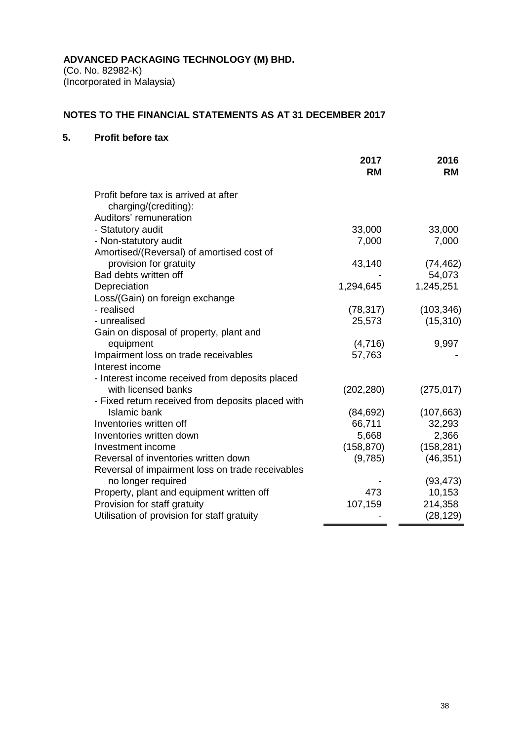(Co. No. 82982-K) (Incorporated in Malaysia)

# **NOTES TO THE FINANCIAL STATEMENTS AS AT 31 DECEMBER 2017**

# **5. Profit before tax**

|                                                                        | 2017<br><b>RM</b> | 2016<br><b>RM</b> |
|------------------------------------------------------------------------|-------------------|-------------------|
| Profit before tax is arrived at after                                  |                   |                   |
| charging/(crediting):                                                  |                   |                   |
| Auditors' remuneration                                                 |                   |                   |
| - Statutory audit                                                      | 33,000            | 33,000            |
| - Non-statutory audit                                                  | 7,000             | 7,000             |
| Amortised/(Reversal) of amortised cost of                              |                   |                   |
| provision for gratuity                                                 | 43,140            | (74, 462)         |
| Bad debts written off                                                  |                   | 54,073            |
| Depreciation                                                           | 1,294,645         | 1,245,251         |
| Loss/(Gain) on foreign exchange                                        |                   |                   |
| - realised                                                             | (78, 317)         | (103, 346)        |
| - unrealised                                                           | 25,573            | (15, 310)         |
| Gain on disposal of property, plant and                                |                   |                   |
| equipment                                                              | (4,716)           | 9,997             |
| Impairment loss on trade receivables                                   | 57,763            |                   |
| Interest income                                                        |                   |                   |
| - Interest income received from deposits placed<br>with licensed banks |                   |                   |
| - Fixed return received from deposits placed with                      | (202, 280)        | (275, 017)        |
| Islamic bank                                                           | (84, 692)         | (107, 663)        |
| Inventories written off                                                | 66,711            | 32,293            |
| Inventories written down                                               | 5,668             | 2,366             |
| Investment income                                                      | (158, 870)        | (158, 281)        |
| Reversal of inventories written down                                   | (9,785)           | (46, 351)         |
| Reversal of impairment loss on trade receivables                       |                   |                   |
| no longer required                                                     |                   | (93, 473)         |
| Property, plant and equipment written off                              | 473               | 10,153            |
| Provision for staff gratuity                                           | 107,159           | 214,358           |
| Utilisation of provision for staff gratuity                            |                   | (28, 129)         |
|                                                                        |                   |                   |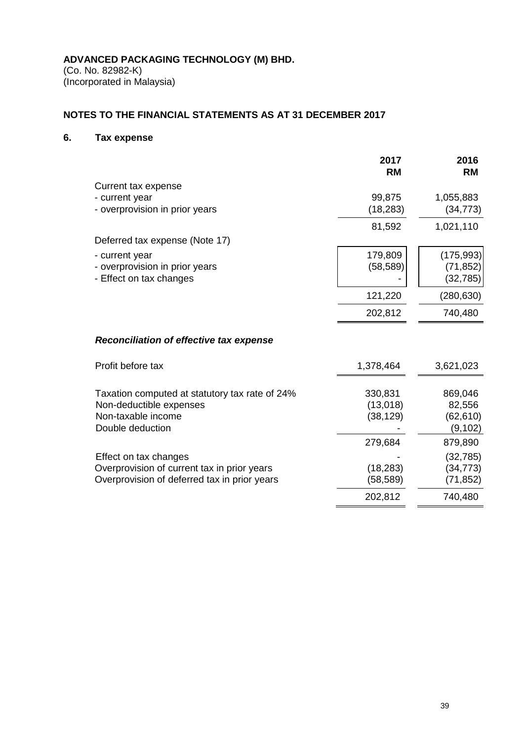(Co. No. 82982-K) (Incorporated in Malaysia)

# **NOTES TO THE FINANCIAL STATEMENTS AS AT 31 DECEMBER 2017**

# **6. Tax expense**

|                                                | 2017<br><b>RM</b> | 2016<br><b>RM</b> |
|------------------------------------------------|-------------------|-------------------|
| Current tax expense                            |                   |                   |
| - current year                                 | 99,875            | 1,055,883         |
| - overprovision in prior years                 | (18, 283)         | (34, 773)         |
|                                                | 81,592            | 1,021,110         |
| Deferred tax expense (Note 17)                 |                   |                   |
| - current year                                 | 179,809           | (175,993)         |
| - overprovision in prior years                 | (58, 589)         | (71,852)          |
| - Effect on tax changes                        |                   | (32, 785)         |
|                                                | 121,220           | (280, 630)        |
|                                                | 202,812           | 740,480           |
| <b>Reconciliation of effective tax expense</b> |                   |                   |
| Profit before tax                              | 1,378,464         | 3,621,023         |
| Taxation computed at statutory tax rate of 24% | 330,831           | 869,046           |
| Non-deductible expenses                        | (13,018)          | 82,556            |
| Non-taxable income                             | (38, 129)         | (62, 610)         |
| Double deduction                               |                   | (9, 102)          |
|                                                | 279,684           | 879,890           |
| Effect on tax changes                          |                   | (32, 785)         |
| Overprovision of current tax in prior years    | (18, 283)         | (34, 773)         |
| Overprovision of deferred tax in prior years   | (58, 589)         | (71, 852)         |
|                                                | 202,812           | 740,480           |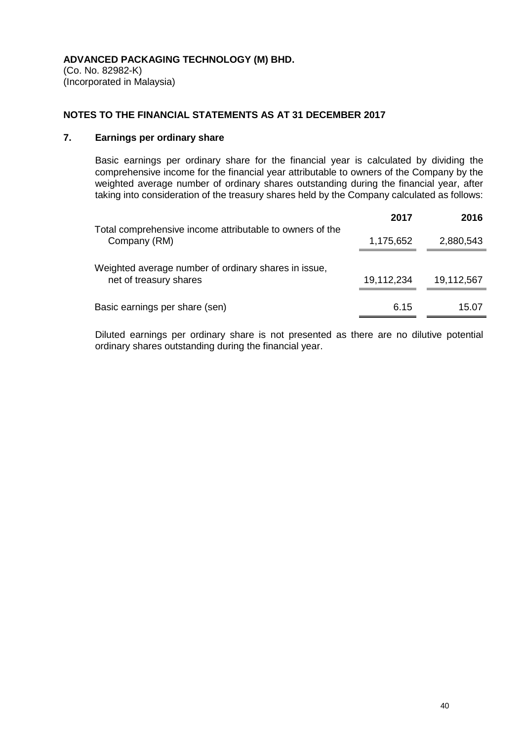## **NOTES TO THE FINANCIAL STATEMENTS AS AT 31 DECEMBER 2017**

# **7. Earnings per ordinary share**

Basic earnings per ordinary share for the financial year is calculated by dividing the comprehensive income for the financial year attributable to owners of the Company by the weighted average number of ordinary shares outstanding during the financial year, after taking into consideration of the treasury shares held by the Company calculated as follows:

|                                                                                | 2017       | 2016       |
|--------------------------------------------------------------------------------|------------|------------|
| Total comprehensive income attributable to owners of the<br>Company (RM)       | 1,175,652  | 2,880,543  |
| Weighted average number of ordinary shares in issue,<br>net of treasury shares | 19,112,234 | 19,112,567 |
| Basic earnings per share (sen)                                                 | 6.15       | 15.07      |

Diluted earnings per ordinary share is not presented as there are no dilutive potential ordinary shares outstanding during the financial year.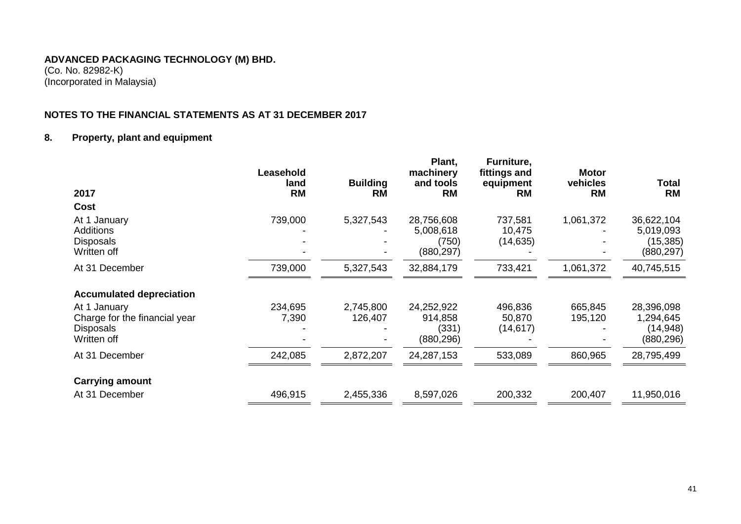#### **ADVANCED PACKAGING TECHNOLOGY (M) BHD.** (Co. No. 82982-K)

(Incorporated in Malaysia)

# **NOTES TO THE FINANCIAL STATEMENTS AS AT 31 DECEMBER 2017**

# **8. Property, plant and equipment**

| 2017                                                                             | Leasehold<br>land<br><b>RM</b> | <b>Building</b><br><b>RM</b> | Plant,<br>machinery<br>and tools<br><b>RM</b>  | Furniture,<br>fittings and<br>equipment<br><b>RM</b> | <b>Motor</b><br>vehicles<br><b>RM</b> | Total<br><b>RM</b>                                |
|----------------------------------------------------------------------------------|--------------------------------|------------------------------|------------------------------------------------|------------------------------------------------------|---------------------------------------|---------------------------------------------------|
| <b>Cost</b>                                                                      |                                |                              |                                                |                                                      |                                       |                                                   |
| At 1 January<br><b>Additions</b><br><b>Disposals</b><br>Written off              | 739,000                        | 5,327,543                    | 28,756,608<br>5,008,618<br>(750)<br>(880, 297) | 737,581<br>10,475<br>(14, 635)                       | 1,061,372                             | 36,622,104<br>5,019,093<br>(15,385)<br>(880, 297) |
| At 31 December                                                                   | 739,000                        | 5,327,543                    | 32,884,179                                     | 733,421                                              | 1,061,372                             | 40,745,515                                        |
| <b>Accumulated depreciation</b>                                                  |                                |                              |                                                |                                                      |                                       |                                                   |
| At 1 January<br>Charge for the financial year<br><b>Disposals</b><br>Written off | 234,695<br>7,390               | 2,745,800<br>126,407         | 24,252,922<br>914,858<br>(331)<br>(880,296)    | 496,836<br>50,870<br>(14, 617)                       | 665,845<br>195,120                    | 28,396,098<br>1,294,645<br>(14,948)<br>(880, 296) |
| At 31 December                                                                   | 242,085                        | 2,872,207                    | 24,287,153                                     | 533,089                                              | 860,965                               | 28,795,499                                        |
| <b>Carrying amount</b>                                                           |                                |                              |                                                |                                                      |                                       |                                                   |
| At 31 December                                                                   | 496,915                        | 2,455,336                    | 8,597,026                                      | 200,332                                              | 200,407                               | 11,950,016                                        |
|                                                                                  |                                |                              |                                                |                                                      |                                       |                                                   |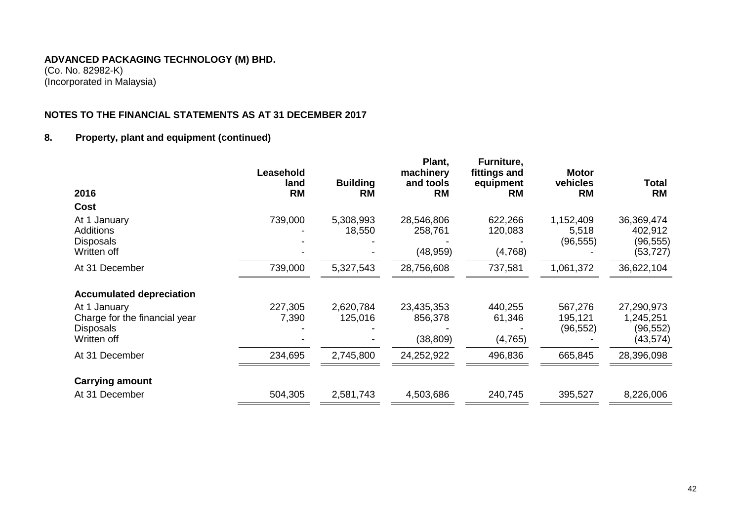(Co. No. 82982-K) (Incorporated in Malaysia)

# **NOTES TO THE FINANCIAL STATEMENTS AS AT 31 DECEMBER 2017**

# **8. Property, plant and equipment (continued)**

| Cost<br>739,000<br>5,308,993<br>28,546,806<br>1,152,409<br>At 1 January<br>622,266<br><b>Additions</b><br>18,550<br>258,761<br>120,083<br>5,518<br>(96, 555)<br><b>Disposals</b><br>(48, 959)<br>(4,768)<br>Written off<br>At 31 December<br>739,000<br>5,327,543<br>28,756,608<br>737,581<br>1,061,372<br><b>Accumulated depreciation</b><br>227,305<br>2,620,784<br>23,435,353<br>440,255<br>567,276<br>At 1 January<br>Charge for the financial year<br>7,390<br>125,016<br>856,378<br>61,346<br>195,121<br>(96, 552)<br><b>Disposals</b><br>Written off<br>(38, 809)<br>(4,765)<br>At 31 December<br>234,695<br>24,252,922<br>496,836<br>665,845<br>2,745,800<br><b>Carrying amount</b><br>At 31 December<br>504,305<br>2,581,743<br>4,503,686<br>240,745<br>395,527 | 2016 | Leasehold<br>land<br><b>RM</b> | <b>Building</b><br><b>RM</b> | Plant,<br>machinery<br>and tools<br><b>RM</b> | Furniture,<br>fittings and<br>equipment<br><b>RM</b> | <b>Motor</b><br>vehicles<br><b>RM</b> | Total<br><b>RM</b>                              |
|--------------------------------------------------------------------------------------------------------------------------------------------------------------------------------------------------------------------------------------------------------------------------------------------------------------------------------------------------------------------------------------------------------------------------------------------------------------------------------------------------------------------------------------------------------------------------------------------------------------------------------------------------------------------------------------------------------------------------------------------------------------------------|------|--------------------------------|------------------------------|-----------------------------------------------|------------------------------------------------------|---------------------------------------|-------------------------------------------------|
|                                                                                                                                                                                                                                                                                                                                                                                                                                                                                                                                                                                                                                                                                                                                                                          |      |                                |                              |                                               |                                                      |                                       |                                                 |
|                                                                                                                                                                                                                                                                                                                                                                                                                                                                                                                                                                                                                                                                                                                                                                          |      |                                |                              |                                               |                                                      |                                       | 36,369,474<br>402,912<br>(96,555)<br>(53,727)   |
|                                                                                                                                                                                                                                                                                                                                                                                                                                                                                                                                                                                                                                                                                                                                                                          |      |                                |                              |                                               |                                                      |                                       | 36,622,104                                      |
|                                                                                                                                                                                                                                                                                                                                                                                                                                                                                                                                                                                                                                                                                                                                                                          |      |                                |                              |                                               |                                                      |                                       |                                                 |
|                                                                                                                                                                                                                                                                                                                                                                                                                                                                                                                                                                                                                                                                                                                                                                          |      |                                |                              |                                               |                                                      |                                       | 27,290,973<br>1,245,251<br>(96,552)<br>(43,574) |
|                                                                                                                                                                                                                                                                                                                                                                                                                                                                                                                                                                                                                                                                                                                                                                          |      |                                |                              |                                               |                                                      |                                       | 28,396,098                                      |
|                                                                                                                                                                                                                                                                                                                                                                                                                                                                                                                                                                                                                                                                                                                                                                          |      |                                |                              |                                               |                                                      |                                       |                                                 |
|                                                                                                                                                                                                                                                                                                                                                                                                                                                                                                                                                                                                                                                                                                                                                                          |      |                                |                              |                                               |                                                      |                                       | 8,226,006                                       |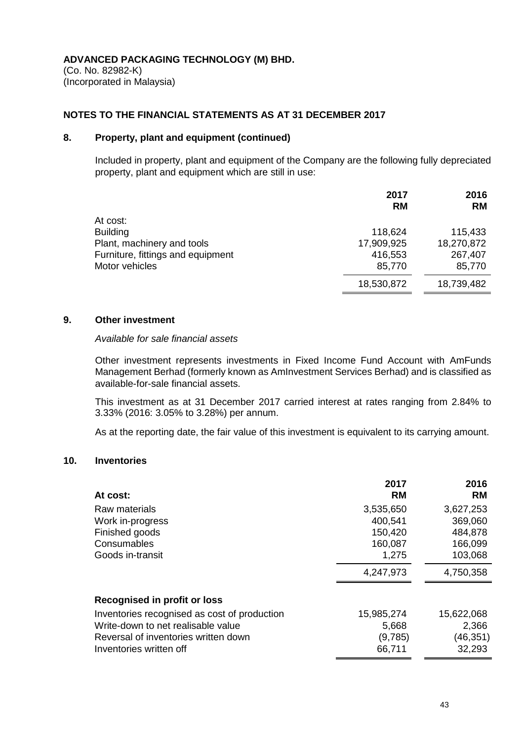(Co. No. 82982-K) (Incorporated in Malaysia)

#### **NOTES TO THE FINANCIAL STATEMENTS AS AT 31 DECEMBER 2017**

## **8. Property, plant and equipment (continued)**

Included in property, plant and equipment of the Company are the following fully depreciated property, plant and equipment which are still in use:

|                                   | 2017<br><b>RM</b> | 2016<br><b>RM</b> |
|-----------------------------------|-------------------|-------------------|
| At cost:                          |                   |                   |
| <b>Building</b>                   | 118,624           | 115,433           |
| Plant, machinery and tools        | 17,909,925        | 18,270,872        |
| Furniture, fittings and equipment | 416,553           | 267,407           |
| Motor vehicles                    | 85,770            | 85,770            |
|                                   | 18,530,872        | 18,739,482        |

#### **9. Other investment**

#### *Available for sale financial assets*

Other investment represents investments in Fixed Income Fund Account with AmFunds Management Berhad (formerly known as AmInvestment Services Berhad) and is classified as available-for-sale financial assets.

This investment as at 31 December 2017 carried interest at rates ranging from 2.84% to 3.33% (2016: 3.05% to 3.28%) per annum.

As at the reporting date, the fair value of this investment is equivalent to its carrying amount.

# **10. Inventories**

|                                              | 2017       | 2016       |
|----------------------------------------------|------------|------------|
| At cost:                                     | <b>RM</b>  | <b>RM</b>  |
| Raw materials                                | 3,535,650  | 3,627,253  |
| Work in-progress                             | 400,541    | 369,060    |
| Finished goods                               | 150,420    | 484,878    |
| Consumables                                  | 160,087    | 166,099    |
| Goods in-transit                             | 1,275      | 103,068    |
|                                              | 4,247,973  | 4,750,358  |
| Recognised in profit or loss                 |            |            |
| Inventories recognised as cost of production | 15,985,274 | 15,622,068 |
| Write-down to net realisable value           | 5,668      | 2,366      |
| Reversal of inventories written down         | (9,785)    | (46, 351)  |
| Inventories written off                      | 66,711     | 32,293     |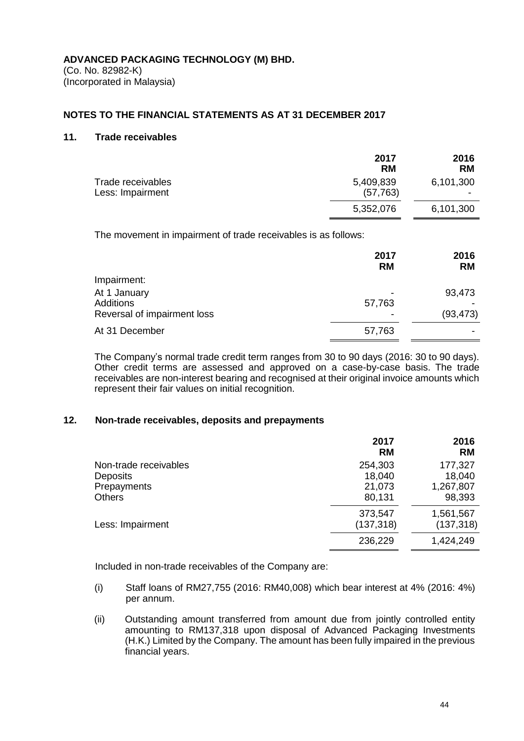#### **NOTES TO THE FINANCIAL STATEMENTS AS AT 31 DECEMBER 2017**

#### **11. Trade receivables**

|                                       | 2017<br><b>RM</b>      | 2016<br><b>RM</b> |
|---------------------------------------|------------------------|-------------------|
| Trade receivables<br>Less: Impairment | 5,409,839<br>(57, 763) | 6,101,300         |
|                                       | 5,352,076              | 6,101,300         |

The movement in impairment of trade receivables is as follows:

|                                                                 | 2017<br><b>RM</b> | 2016<br><b>RM</b>   |
|-----------------------------------------------------------------|-------------------|---------------------|
| Impairment:                                                     |                   |                     |
| At 1 January<br><b>Additions</b><br>Reversal of impairment loss | 57,763            | 93,473<br>(93, 473) |
| At 31 December                                                  | 57,763            |                     |

The Company's normal trade credit term ranges from 30 to 90 days (2016: 30 to 90 days). Other credit terms are assessed and approved on a case-by-case basis. The trade receivables are non-interest bearing and recognised at their original invoice amounts which represent their fair values on initial recognition.

#### **12. Non-trade receivables, deposits and prepayments**

|                       | 2017<br><b>RM</b>     | 2016<br><b>RM</b>       |
|-----------------------|-----------------------|-------------------------|
| Non-trade receivables | 254,303               | 177,327                 |
| <b>Deposits</b>       | 18,040                | 18,040                  |
| Prepayments           | 21,073                | 1,267,807               |
| <b>Others</b>         | 80,131                | 98,393                  |
| Less: Impairment      | 373,547<br>(137, 318) | 1,561,567<br>(137, 318) |
|                       |                       |                         |
|                       | 236,229               | 1,424,249               |

Included in non-trade receivables of the Company are:

- (i) Staff loans of RM27,755 (2016: RM40,008) which bear interest at 4% (2016: 4%) per annum.
- (ii) Outstanding amount transferred from amount due from jointly controlled entity amounting to RM137,318 upon disposal of Advanced Packaging Investments (H.K.) Limited by the Company. The amount has been fully impaired in the previous financial years.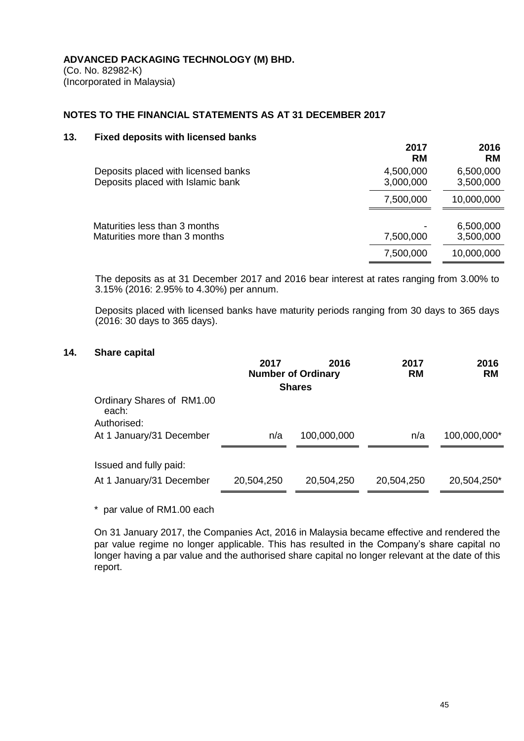(Co. No. 82982-K) (Incorporated in Malaysia)

# **NOTES TO THE FINANCIAL STATEMENTS AS AT 31 DECEMBER 2017**

#### **13. Fixed deposits with licensed banks**

|                                                                          | 2017<br><b>RM</b>      | 2016<br><b>RM</b>      |
|--------------------------------------------------------------------------|------------------------|------------------------|
| Deposits placed with licensed banks<br>Deposits placed with Islamic bank | 4,500,000<br>3,000,000 | 6,500,000<br>3,500,000 |
|                                                                          | 7,500,000              | 10,000,000             |
| Maturities less than 3 months<br>Maturities more than 3 months           | 7,500,000              | 6,500,000<br>3,500,000 |
|                                                                          | 7,500,000              | 10,000,000             |

The deposits as at 31 December 2017 and 2016 bear interest at rates ranging from 3.00% to 3.15% (2016: 2.95% to 4.30%) per annum.

Deposits placed with licensed banks have maturity periods ranging from 30 days to 365 days (2016: 30 days to 365 days).

# **14. Share capital**

|                                                   | 2017       | 2016<br><b>Number of Ordinary</b> | 2017<br><b>RM</b> | 2016<br><b>RM</b> |
|---------------------------------------------------|------------|-----------------------------------|-------------------|-------------------|
|                                                   |            | <b>Shares</b>                     |                   |                   |
| Ordinary Shares of RM1.00<br>each:<br>Authorised: |            |                                   |                   |                   |
| At 1 January/31 December                          | n/a        | 100,000,000                       | n/a               | 100,000,000*      |
| Issued and fully paid:                            |            |                                   |                   |                   |
| At 1 January/31 December                          | 20,504,250 | 20,504,250                        | 20,504,250        | 20,504,250*       |

\* par value of RM1.00 each

On 31 January 2017, the Companies Act, 2016 in Malaysia became effective and rendered the par value regime no longer applicable. This has resulted in the Company's share capital no longer having a par value and the authorised share capital no longer relevant at the date of this report.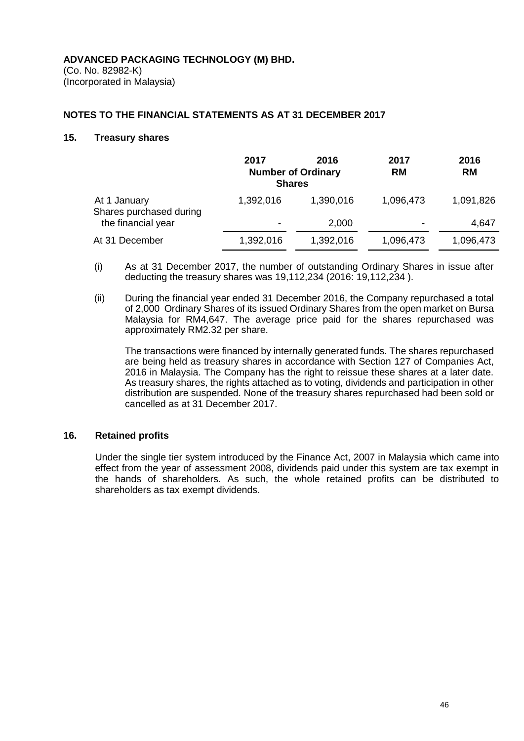(Co. No. 82982-K) (Incorporated in Malaysia)

#### **NOTES TO THE FINANCIAL STATEMENTS AS AT 31 DECEMBER 2017**

#### **15. Treasury shares**

|                                         | 2017<br><b>Shares</b> | 2016<br><b>Number of Ordinary</b> | 2017<br><b>RM</b>        | 2016<br><b>RM</b> |
|-----------------------------------------|-----------------------|-----------------------------------|--------------------------|-------------------|
| At 1 January<br>Shares purchased during | 1,392,016             | 1,390,016                         | 1,096,473                | 1,091,826         |
| the financial year                      | $\,$                  | 2,000                             | $\overline{\phantom{0}}$ | 4,647             |
| At 31 December                          | 1,392,016             | 1,392,016                         | 1,096,473                | 1,096,473         |

- (i) As at 31 December 2017, the number of outstanding Ordinary Shares in issue after deducting the treasury shares was 19,112,234 (2016: 19,112,234 ).
- (ii) During the financial year ended 31 December 2016, the Company repurchased a total of 2,000 Ordinary Shares of its issued Ordinary Shares from the open market on Bursa Malaysia for RM4,647. The average price paid for the shares repurchased was approximately RM2.32 per share.

The transactions were financed by internally generated funds. The shares repurchased are being held as treasury shares in accordance with Section 127 of Companies Act, 2016 in Malaysia. The Company has the right to reissue these shares at a later date. As treasury shares, the rights attached as to voting, dividends and participation in other distribution are suspended. None of the treasury shares repurchased had been sold or cancelled as at 31 December 2017.

#### **16. Retained profits**

Under the single tier system introduced by the Finance Act, 2007 in Malaysia which came into effect from the year of assessment 2008, dividends paid under this system are tax exempt in the hands of shareholders. As such, the whole retained profits can be distributed to shareholders as tax exempt dividends.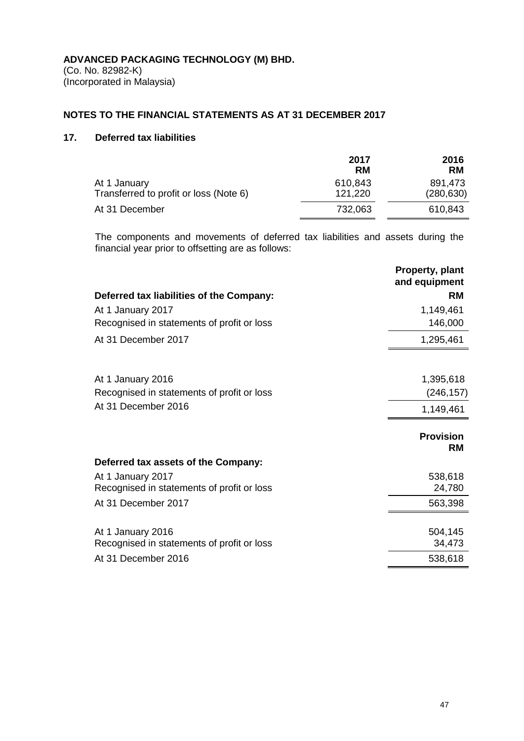# **NOTES TO THE FINANCIAL STATEMENTS AS AT 31 DECEMBER 2017**

# **17. Deferred tax liabilities**

|                                                        | 2017               | 2016                  |
|--------------------------------------------------------|--------------------|-----------------------|
|                                                        | RM                 | RM                    |
| At 1 January<br>Transferred to profit or loss (Note 6) | 610,843<br>121,220 | 891,473<br>(280, 630) |
| At 31 December                                         | 732,063            | 610,843               |

The components and movements of deferred tax liabilities and assets during the financial year prior to offsetting are as follows:

|                                            | Property, plant<br>and equipment |
|--------------------------------------------|----------------------------------|
| Deferred tax liabilities of the Company:   | <b>RM</b>                        |
| At 1 January 2017                          | 1,149,461                        |
| Recognised in statements of profit or loss | 146,000                          |
| At 31 December 2017                        | 1,295,461                        |
|                                            |                                  |
| At 1 January 2016                          | 1,395,618                        |
| Recognised in statements of profit or loss | (246, 157)                       |
| At 31 December 2016                        | 1,149,461                        |
|                                            | <b>Provision</b><br><b>RM</b>    |
| Deferred tax assets of the Company:        |                                  |
| At 1 January 2017                          | 538,618                          |
| Recognised in statements of profit or loss | 24,780                           |
| At 31 December 2017                        | 563,398                          |
| At 1 January 2016                          | 504,145                          |
| Recognised in statements of profit or loss | 34,473                           |
| At 31 December 2016                        | 538,618                          |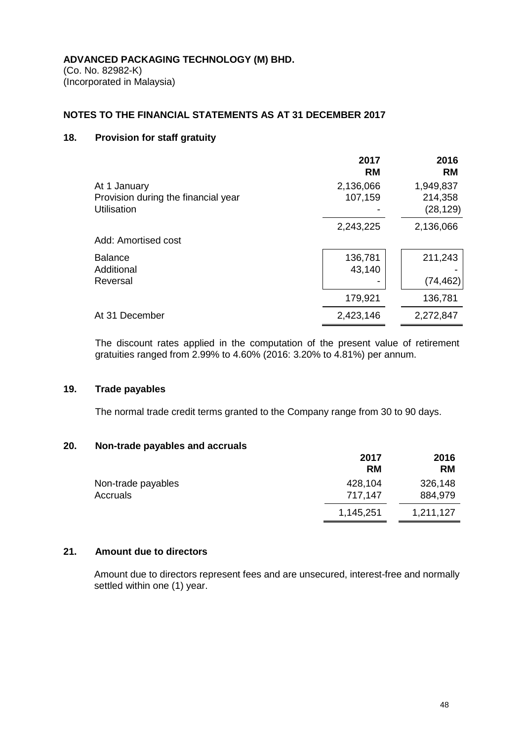(Co. No. 82982-K) (Incorporated in Malaysia)

# **NOTES TO THE FINANCIAL STATEMENTS AS AT 31 DECEMBER 2017**

# **18. Provision for staff gratuity**

|                                                                           | 2017<br><b>RM</b>    | 2016<br><b>RM</b>                 |
|---------------------------------------------------------------------------|----------------------|-----------------------------------|
| At 1 January<br>Provision during the financial year<br><b>Utilisation</b> | 2,136,066<br>107,159 | 1,949,837<br>214,358<br>(28, 129) |
| Add: Amortised cost                                                       | 2,243,225            | 2,136,066                         |
| <b>Balance</b><br>Additional<br>Reversal                                  | 136,781<br>43,140    | 211,243<br>(74, 462)              |
|                                                                           | 179,921              | 136,781                           |
| At 31 December                                                            | 2,423,146            | 2,272,847                         |

The discount rates applied in the computation of the present value of retirement gratuities ranged from 2.99% to 4.60% (2016: 3.20% to 4.81%) per annum.

#### **19. Trade payables**

The normal trade credit terms granted to the Company range from 30 to 90 days.

#### **20. Non-trade payables and accruals**

|                    | 2017      | 2016      |
|--------------------|-----------|-----------|
|                    | <b>RM</b> | <b>RM</b> |
| Non-trade payables | 428,104   | 326,148   |
| Accruals           | 717.147   | 884,979   |
|                    | 1,145,251 | 1,211,127 |

#### **21. Amount due to directors**

Amount due to directors represent fees and are unsecured, interest-free and normally settled within one (1) year.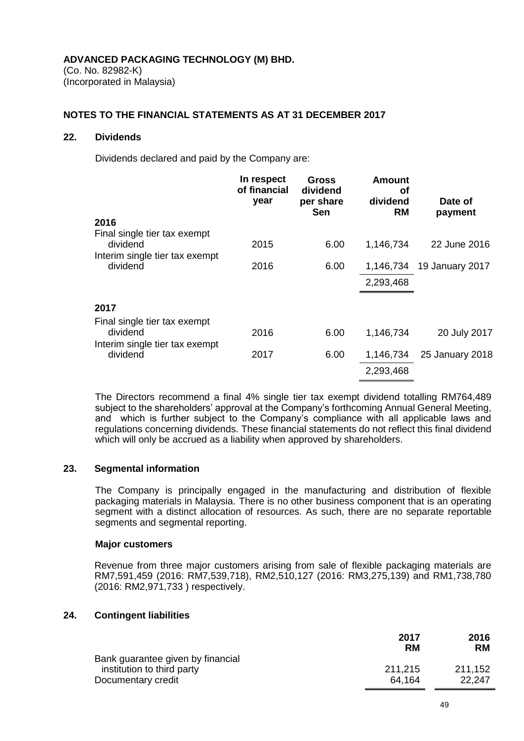(Co. No. 82982-K) (Incorporated in Malaysia)

## **NOTES TO THE FINANCIAL STATEMENTS AS AT 31 DECEMBER 2017**

#### **22. Dividends**

Dividends declared and paid by the Company are:

|                                                                            | In respect<br>of financial<br>year | Gross<br>dividend<br>per share<br>Sen | <b>Amount</b><br>οf<br>dividend<br><b>RM</b> | Date of<br>payment |
|----------------------------------------------------------------------------|------------------------------------|---------------------------------------|----------------------------------------------|--------------------|
| 2016                                                                       |                                    |                                       |                                              |                    |
| Final single tier tax exempt<br>dividend<br>Interim single tier tax exempt | 2015                               | 6.00                                  | 1,146,734                                    | 22 June 2016       |
| dividend                                                                   | 2016                               | 6.00                                  | 1,146,734                                    | 19 January 2017    |
|                                                                            |                                    |                                       | 2,293,468                                    |                    |
| 2017                                                                       |                                    |                                       |                                              |                    |
| Final single tier tax exempt                                               |                                    |                                       |                                              |                    |
| dividend                                                                   | 2016                               | 6.00                                  | 1,146,734                                    | 20 July 2017       |
| Interim single tier tax exempt<br>dividend                                 | 2017                               | 6.00                                  | 1,146,734                                    | 25 January 2018    |
|                                                                            |                                    |                                       | 2,293,468                                    |                    |
|                                                                            |                                    |                                       |                                              |                    |

The Directors recommend a final 4% single tier tax exempt dividend totalling RM764,489 subject to the shareholders' approval at the Company's forthcoming Annual General Meeting, and which is further subject to the Company's compliance with all applicable laws and regulations concerning dividends. These financial statements do not reflect this final dividend which will only be accrued as a liability when approved by shareholders.

#### **23. Segmental information**

The Company is principally engaged in the manufacturing and distribution of flexible packaging materials in Malaysia. There is no other business component that is an operating segment with a distinct allocation of resources. As such, there are no separate reportable segments and segmental reporting.

#### **Major customers**

Revenue from three major customers arising from sale of flexible packaging materials are RM7,591,459 (2016: RM7,539,718), RM2,510,127 (2016: RM3,275,139) and RM1,738,780 (2016: RM2,971,733 ) respectively.

# **24. Contingent liabilities**

|                                   | 2017<br><b>RM</b> | 2016<br><b>RM</b> |
|-----------------------------------|-------------------|-------------------|
| Bank guarantee given by financial |                   |                   |
| institution to third party        | 211.215           | 211.152           |
| Documentary credit                | 64.164            | 22.247            |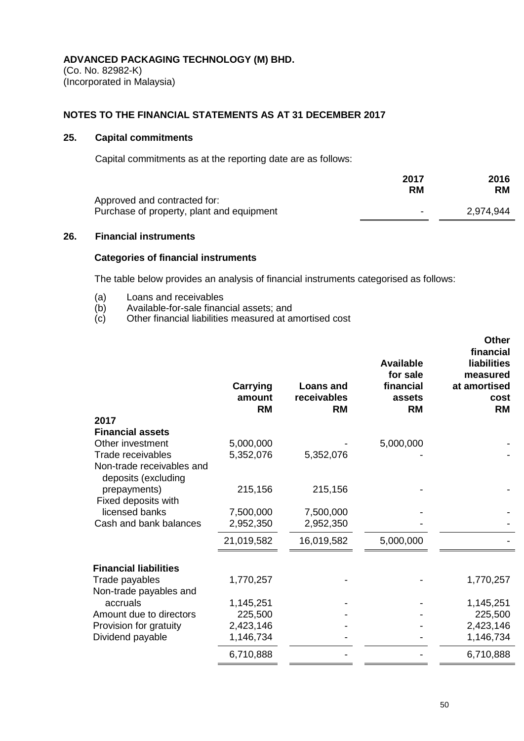(Co. No. 82982-K) (Incorporated in Malaysia)

# **NOTES TO THE FINANCIAL STATEMENTS AS AT 31 DECEMBER 2017**

## **25. Capital commitments**

Capital commitments as at the reporting date are as follows:

|                                           | 2017      | 2016      |
|-------------------------------------------|-----------|-----------|
|                                           | <b>RM</b> | <b>RM</b> |
| Approved and contracted for:              |           |           |
| Purchase of property, plant and equipment | ۰         | 2,974,944 |

# **26. Financial instruments**

#### **Categories of financial instruments**

The table below provides an analysis of financial instruments categorised as follows:

- (a) Loans and receivables
- (b) Available-for-sale financial assets; and
- (c) Other financial liabilities measured at amortised cost

| 2017                                                                                   |  |
|----------------------------------------------------------------------------------------|--|
| <b>Financial assets</b>                                                                |  |
| Other investment<br>5,000,000<br>5,000,000                                             |  |
| Trade receivables<br>5,352,076<br>5,352,076                                            |  |
| Non-trade receivables and<br>deposits (excluding<br>prepayments)<br>215,156<br>215,156 |  |
| Fixed deposits with                                                                    |  |
| licensed banks<br>7,500,000<br>7,500,000                                               |  |
| Cash and bank balances<br>2,952,350<br>2,952,350                                       |  |
| 21,019,582<br>16,019,582<br>5,000,000                                                  |  |
| <b>Financial liabilities</b>                                                           |  |
| 1,770,257<br>Trade payables<br>1,770,257                                               |  |
| Non-trade payables and                                                                 |  |
| accruals<br>1,145,251<br>1,145,251                                                     |  |
| Amount due to directors<br>225,500<br>225,500                                          |  |
| 2,423,146<br>Provision for gratuity<br>2,423,146                                       |  |
| Dividend payable<br>1,146,734<br>1,146,734                                             |  |
| 6,710,888<br>6,710,888                                                                 |  |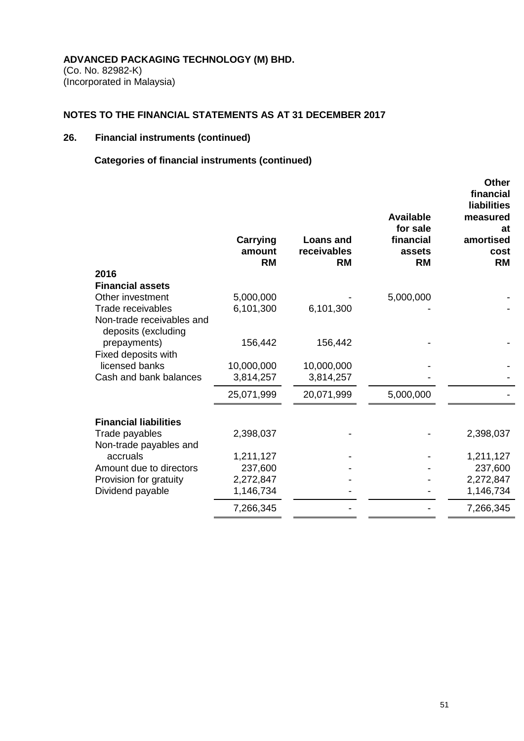(Co. No. 82982-K) (Incorporated in Malaysia)

# **NOTES TO THE FINANCIAL STATEMENTS AS AT 31 DECEMBER 2017**

# **26. Financial instruments (continued)**

# **Categories of financial instruments (continued)**

| 2016                                             | <b>Carrying</b><br>amount<br><b>RM</b> | <b>Loans and</b><br>receivables<br><b>RM</b> | <b>Available</b><br>for sale<br>financial<br>assets<br><b>RM</b> | <b>Other</b><br>financial<br><b>liabilities</b><br>measured<br>at<br>amortised<br>cost<br><b>RM</b> |
|--------------------------------------------------|----------------------------------------|----------------------------------------------|------------------------------------------------------------------|-----------------------------------------------------------------------------------------------------|
| <b>Financial assets</b>                          |                                        |                                              |                                                                  |                                                                                                     |
| Other investment                                 | 5,000,000                              |                                              | 5,000,000                                                        |                                                                                                     |
| Trade receivables                                | 6,101,300                              | 6,101,300                                    |                                                                  |                                                                                                     |
| Non-trade receivables and<br>deposits (excluding |                                        |                                              |                                                                  |                                                                                                     |
| prepayments)<br>Fixed deposits with              | 156,442                                | 156,442                                      |                                                                  |                                                                                                     |
| licensed banks                                   | 10,000,000                             | 10,000,000                                   |                                                                  |                                                                                                     |
| Cash and bank balances                           | 3,814,257                              | 3,814,257                                    |                                                                  |                                                                                                     |
|                                                  | 25,071,999                             | 20,071,999                                   | 5,000,000                                                        |                                                                                                     |
| <b>Financial liabilities</b>                     |                                        |                                              |                                                                  |                                                                                                     |
| Trade payables<br>Non-trade payables and         | 2,398,037                              |                                              |                                                                  | 2,398,037                                                                                           |
| accruals                                         | 1,211,127                              |                                              |                                                                  | 1,211,127                                                                                           |
| Amount due to directors                          | 237,600                                |                                              |                                                                  | 237,600                                                                                             |
| Provision for gratuity                           | 2,272,847                              |                                              |                                                                  | 2,272,847                                                                                           |
| Dividend payable                                 | 1,146,734                              |                                              |                                                                  | 1,146,734                                                                                           |
|                                                  | 7,266,345                              |                                              |                                                                  | 7,266,345                                                                                           |
|                                                  |                                        |                                              |                                                                  |                                                                                                     |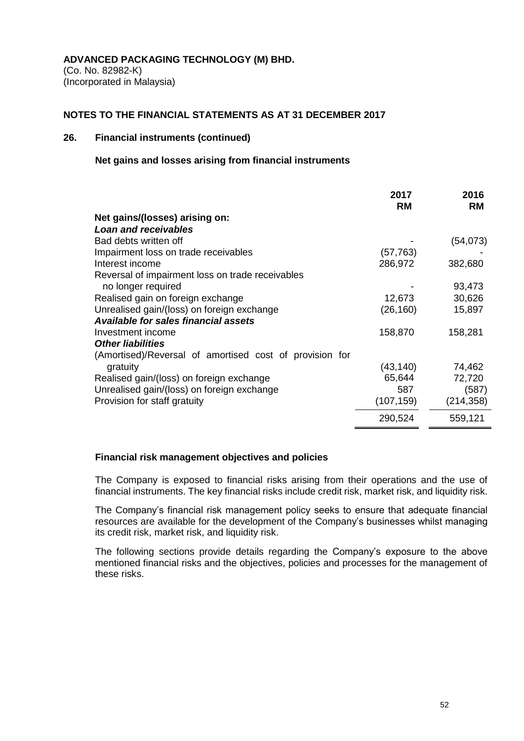(Co. No. 82982-K) (Incorporated in Malaysia)

### **NOTES TO THE FINANCIAL STATEMENTS AS AT 31 DECEMBER 2017**

## **26. Financial instruments (continued)**

#### **Net gains and losses arising from financial instruments**

|                                                         | 2017       | 2016       |
|---------------------------------------------------------|------------|------------|
|                                                         | <b>RM</b>  | <b>RM</b>  |
| Net gains/(losses) arising on:                          |            |            |
| Loan and receivables                                    |            |            |
| Bad debts written off                                   |            | (54, 073)  |
| Impairment loss on trade receivables                    | (57,763)   |            |
| Interest income                                         | 286,972    | 382,680    |
| Reversal of impairment loss on trade receivables        |            |            |
| no longer required                                      |            | 93,473     |
| Realised gain on foreign exchange                       | 12,673     | 30,626     |
| Unrealised gain/(loss) on foreign exchange              | (26, 160)  | 15,897     |
| <b>Available for sales financial assets</b>             |            |            |
| Investment income                                       | 158,870    | 158,281    |
| <b>Other liabilities</b>                                |            |            |
| (Amortised)/Reversal of amortised cost of provision for |            |            |
| gratuity                                                | (43,140)   | 74,462     |
| Realised gain/(loss) on foreign exchange                | 65,644     | 72,720     |
| Unrealised gain/(loss) on foreign exchange              | 587        | (587)      |
| Provision for staff gratuity                            | (107, 159) | (214, 358) |
|                                                         | 290,524    | 559,121    |
|                                                         |            |            |

#### **Financial risk management objectives and policies**

The Company is exposed to financial risks arising from their operations and the use of financial instruments. The key financial risks include credit risk, market risk, and liquidity risk.

The Company's financial risk management policy seeks to ensure that adequate financial resources are available for the development of the Company's businesses whilst managing its credit risk, market risk, and liquidity risk.

The following sections provide details regarding the Company's exposure to the above mentioned financial risks and the objectives, policies and processes for the management of these risks.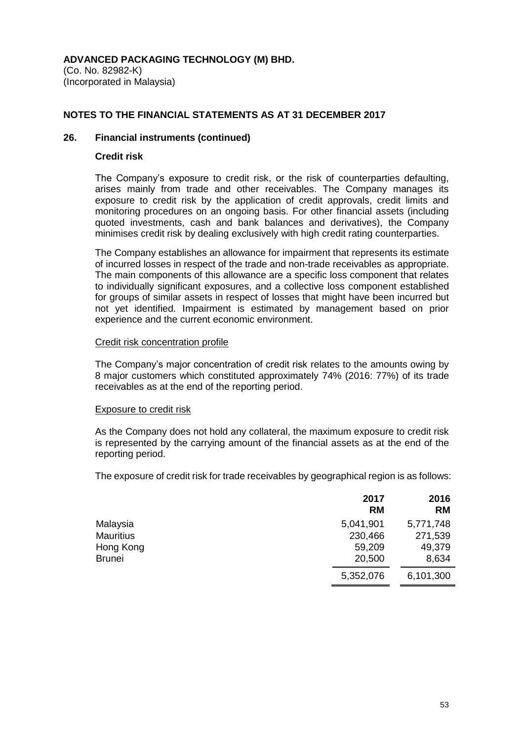(Co. No. 82982-K) (Incorporated in Malaysia)

# **NOTES TO THE FINANCIAL STATEMENTS AS AT 31 DECEMBER 2017**

# **26. Financial instruments (continued)**

#### **Credit risk**

The Company's exposure to credit risk, or the risk of counterparties defaulting, arises mainly from trade and other receivables. The Company manages its exposure to credit risk by the application of credit approvals, credit limits and monitoring procedures on an ongoing basis. For other financial assets (including quoted investments, cash and bank balances and derivatives), the Company minimises credit risk by dealing exclusively with high credit rating counterparties.

The Company establishes an allowance for impairment that represents its estimate of incurred losses in respect of the trade and non-trade receivables as appropriate. The main components of this allowance are a specific loss component that relates to individually significant exposures, and a collective loss component established for groups of similar assets in respect of losses that might have been incurred but not yet identified. Impairment is estimated by management based on prior experience and the current economic environment.

#### Credit risk concentration profile

The Company's major concentration of credit risk relates to the amounts owing by 8 major customers which constituted approximately 74% (2016: 77%) of its trade receivables as at the end of the reporting period.

#### Exposure to credit risk

As the Company does not hold any collateral, the maximum exposure to credit risk is represented by the carrying amount of the financial assets as at the end of the reporting period.

The exposure of credit risk for trade receivables by geographical region is as follows:

|                  | 2017<br><b>RM</b> | 2016<br><b>RM</b> |
|------------------|-------------------|-------------------|
| Malaysia         | 5,041,901         | 5,771,748         |
| <b>Mauritius</b> | 230,466           | 271,539           |
| Hong Kong        | 59,209            | 49,379            |
| <b>Brunei</b>    | 20,500            | 8,634             |
|                  | 5,352,076         | 6,101,300         |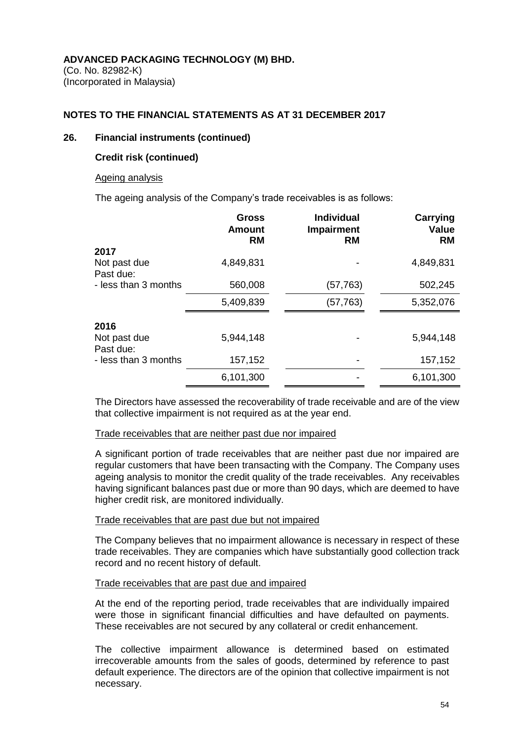# **NOTES TO THE FINANCIAL STATEMENTS AS AT 31 DECEMBER 2017**

#### **26. Financial instruments (continued)**

## **Credit risk (continued)**

#### Ageing analysis

The ageing analysis of the Company's trade receivables is as follows:

| <b>Gross</b><br>Amount<br><b>RM</b> | <b>Individual</b><br><b>Impairment</b><br><b>RM</b> | <b>Carrying</b><br><b>Value</b><br><b>RM</b> |
|-------------------------------------|-----------------------------------------------------|----------------------------------------------|
|                                     |                                                     |                                              |
| 4,849,831                           |                                                     | 4,849,831                                    |
| 560,008                             | (57,763)                                            | 502,245                                      |
| 5,409,839                           | (57, 763)                                           | 5,352,076                                    |
|                                     |                                                     |                                              |
| 5,944,148                           |                                                     | 5,944,148                                    |
| 157,152                             |                                                     | 157,152                                      |
| 6,101,300                           |                                                     | 6,101,300                                    |
|                                     |                                                     |                                              |

The Directors have assessed the recoverability of trade receivable and are of the view that collective impairment is not required as at the year end.

#### Trade receivables that are neither past due nor impaired

A significant portion of trade receivables that are neither past due nor impaired are regular customers that have been transacting with the Company. The Company uses ageing analysis to monitor the credit quality of the trade receivables. Any receivables having significant balances past due or more than 90 days, which are deemed to have higher credit risk, are monitored individually.

#### Trade receivables that are past due but not impaired

The Company believes that no impairment allowance is necessary in respect of these trade receivables. They are companies which have substantially good collection track record and no recent history of default.

#### Trade receivables that are past due and impaired

At the end of the reporting period, trade receivables that are individually impaired were those in significant financial difficulties and have defaulted on payments. These receivables are not secured by any collateral or credit enhancement.

The collective impairment allowance is determined based on estimated irrecoverable amounts from the sales of goods, determined by reference to past default experience. The directors are of the opinion that collective impairment is not necessary.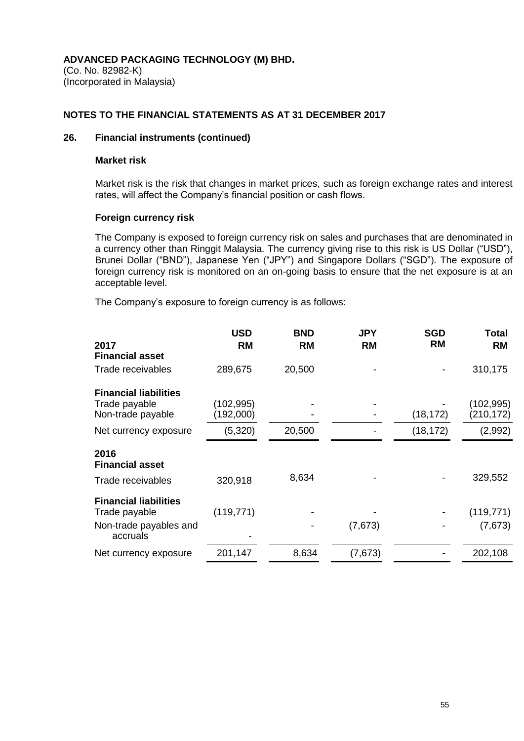(Co. No. 82982-K) (Incorporated in Malaysia)

## **NOTES TO THE FINANCIAL STATEMENTS AS AT 31 DECEMBER 2017**

# **26. Financial instruments (continued)**

#### **Market risk**

Market risk is the risk that changes in market prices, such as foreign exchange rates and interest rates, will affect the Company's financial position or cash flows.

#### **Foreign currency risk**

The Company is exposed to foreign currency risk on sales and purchases that are denominated in a currency other than Ringgit Malaysia. The currency giving rise to this risk is US Dollar ("USD"), Brunei Dollar ("BND"), Japanese Yen ("JPY") and Singapore Dollars ("SGD"). The exposure of foreign currency risk is monitored on an on-going basis to ensure that the net exposure is at an acceptable level.

The Company's exposure to foreign currency is as follows:

| 2017                                          | <b>USD</b><br><b>RM</b> | <b>BND</b><br><b>RM</b> | <b>JPY</b><br><b>RM</b> | <b>SGD</b><br><b>RM</b> | Total<br><b>RM</b>     |
|-----------------------------------------------|-------------------------|-------------------------|-------------------------|-------------------------|------------------------|
| <b>Financial asset</b>                        |                         |                         |                         |                         |                        |
| Trade receivables                             | 289,675                 | 20,500                  |                         |                         | 310,175                |
| <b>Financial liabilities</b>                  |                         |                         |                         |                         |                        |
| Trade payable<br>Non-trade payable            | (102, 995)<br>(192,000) |                         |                         | (18, 172)               | (102,995)<br>(210,172) |
| Net currency exposure                         | (5,320)                 | 20,500                  |                         | (18, 172)               | (2,992)                |
| 2016<br><b>Financial asset</b>                |                         |                         |                         |                         |                        |
| Trade receivables                             | 320,918                 | 8,634                   |                         |                         | 329,552                |
| <b>Financial liabilities</b><br>Trade payable | (119, 771)              |                         |                         |                         | (119, 771)             |
| Non-trade payables and<br>accruals            |                         |                         | (7,673)                 |                         | (7,673)                |
| Net currency exposure                         | 201,147                 | 8,634                   | (7,673)                 |                         | 202,108                |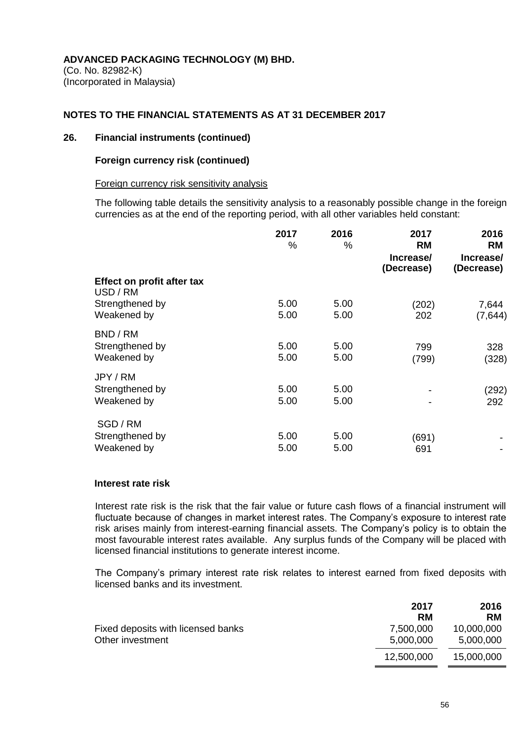### **NOTES TO THE FINANCIAL STATEMENTS AS AT 31 DECEMBER 2017**

#### **26. Financial instruments (continued)**

#### **Foreign currency risk (continued)**

#### Foreign currency risk sensitivity analysis

The following table details the sensitivity analysis to a reasonably possible change in the foreign currencies as at the end of the reporting period, with all other variables held constant:

|                                            | 2017<br>%    | 2016<br>%    | 2017<br><b>RM</b><br>Increase/<br>(Decrease) | 2016<br><b>RM</b><br>Increase/<br>(Decrease) |
|--------------------------------------------|--------------|--------------|----------------------------------------------|----------------------------------------------|
| Effect on profit after tax<br>USD / RM     |              |              |                                              |                                              |
| Strengthened by<br>Weakened by             | 5.00<br>5.00 | 5.00<br>5.00 | (202)<br>202                                 | 7,644<br>(7, 644)                            |
| BND / RM<br>Strengthened by<br>Weakened by | 5.00<br>5.00 | 5.00<br>5.00 | 799<br>(799)                                 | 328<br>(328)                                 |
| JPY / RM<br>Strengthened by<br>Weakened by | 5.00<br>5.00 | 5.00<br>5.00 |                                              | (292)<br>292                                 |
| SGD / RM<br>Strengthened by<br>Weakened by | 5.00<br>5.00 | 5.00<br>5.00 | (691)<br>691                                 |                                              |

#### **Interest rate risk**

Interest rate risk is the risk that the fair value or future cash flows of a financial instrument will fluctuate because of changes in market interest rates. The Company's exposure to interest rate risk arises mainly from interest-earning financial assets. The Company's policy is to obtain the most favourable interest rates available. Any surplus funds of the Company will be placed with licensed financial institutions to generate interest income.

The Company's primary interest rate risk relates to interest earned from fixed deposits with licensed banks and its investment.

|                                                        | 2017<br><b>RM</b>      | 2016<br><b>RM</b>       |
|--------------------------------------------------------|------------------------|-------------------------|
| Fixed deposits with licensed banks<br>Other investment | 7,500,000<br>5,000,000 | 10,000,000<br>5,000,000 |
|                                                        | 12,500,000             | 15,000,000              |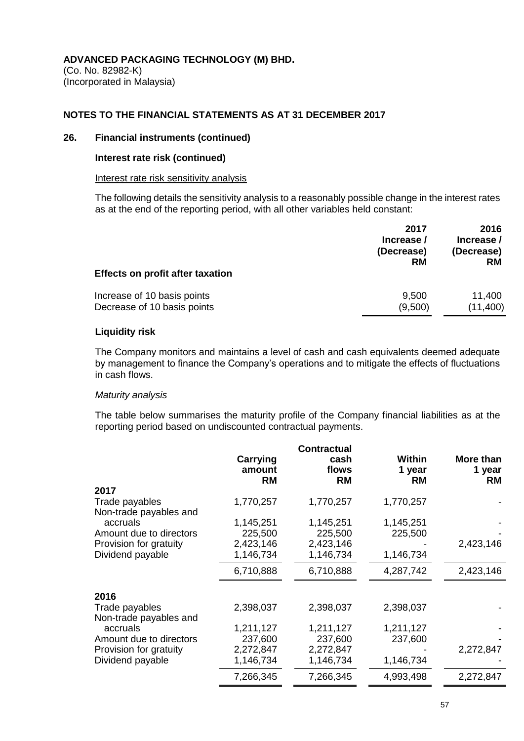## **NOTES TO THE FINANCIAL STATEMENTS AS AT 31 DECEMBER 2017**

## **26. Financial instruments (continued)**

#### **Interest rate risk (continued)**

#### Interest rate risk sensitivity analysis

The following details the sensitivity analysis to a reasonably possible change in the interest rates as at the end of the reporting period, with all other variables held constant:

| <b>Effects on profit after taxation</b> | 2017<br>Increase /<br>(Decrease)<br><b>RM</b> | 2016<br>Increase /<br>(Decrease)<br><b>RM</b> |
|-----------------------------------------|-----------------------------------------------|-----------------------------------------------|
| Increase of 10 basis points             | 9,500                                         | 11,400                                        |
| Decrease of 10 basis points             | (9,500)                                       | (11,400)                                      |

# **Liquidity risk**

The Company monitors and maintains a level of cash and cash equivalents deemed adequate by management to finance the Company's operations and to mitigate the effects of fluctuations in cash flows.

#### *Maturity analysis*

The table below summarises the maturity profile of the Company financial liabilities as at the reporting period based on undiscounted contractual payments.

|                         | Carrying            | <b>Contractual</b><br>cash | Within              | More than           |
|-------------------------|---------------------|----------------------------|---------------------|---------------------|
|                         | amount<br><b>RM</b> | flows<br><b>RM</b>         | 1 year<br><b>RM</b> | 1 year<br><b>RM</b> |
| 2017                    |                     |                            |                     |                     |
| Trade payables          | 1,770,257           | 1,770,257                  | 1,770,257           |                     |
| Non-trade payables and  |                     |                            |                     |                     |
| accruals                | 1,145,251           | 1,145,251                  | 1,145,251           |                     |
| Amount due to directors | 225,500             | 225,500                    | 225,500             |                     |
| Provision for gratuity  | 2,423,146           | 2,423,146                  |                     | 2,423,146           |
| Dividend payable        | 1,146,734           | 1,146,734                  | 1,146,734           |                     |
|                         | 6,710,888           | 6,710,888                  | 4,287,742           | 2,423,146           |
| 2016                    |                     |                            |                     |                     |
| Trade payables          | 2,398,037           | 2,398,037                  | 2,398,037           |                     |
| Non-trade payables and  |                     |                            |                     |                     |
| accruals                | 1,211,127           | 1,211,127                  | 1,211,127           |                     |
| Amount due to directors | 237,600             | 237,600                    | 237,600             |                     |
| Provision for gratuity  | 2,272,847           | 2,272,847                  |                     | 2,272,847           |
| Dividend payable        | 1,146,734           | 1,146,734                  | 1,146,734           |                     |
|                         | 7,266,345           | 7,266,345                  | 4,993,498           | 2,272,847           |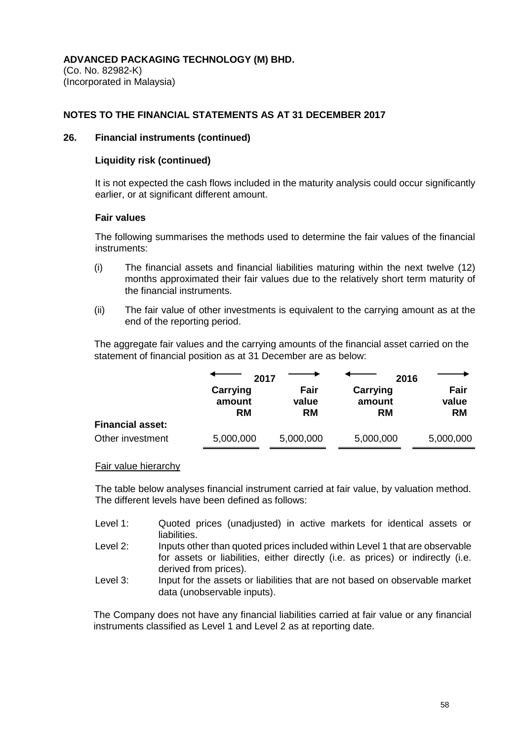(Co. No. 82982-K) (Incorporated in Malaysia)

## **NOTES TO THE FINANCIAL STATEMENTS AS AT 31 DECEMBER 2017**

#### **26. Financial instruments (continued)**

#### **Liquidity risk (continued)**

It is not expected the cash flows included in the maturity analysis could occur significantly earlier, or at significant different amount.

#### **Fair values**

The following summarises the methods used to determine the fair values of the financial instruments:

- (i) The financial assets and financial liabilities maturing within the next twelve (12) months approximated their fair values due to the relatively short term maturity of the financial instruments.
- (ii) The fair value of other investments is equivalent to the carrying amount as at the end of the reporting period.

The aggregate fair values and the carrying amounts of the financial asset carried on the statement of financial position as at 31 December are as below:

|                         | 2017                            |                            | 2016                            |                            |
|-------------------------|---------------------------------|----------------------------|---------------------------------|----------------------------|
|                         | Carrying<br>amount<br><b>RM</b> | Fair<br>value<br><b>RM</b> | Carrying<br>amount<br><b>RM</b> | Fair<br>value<br><b>RM</b> |
| <b>Financial asset:</b> |                                 |                            |                                 |                            |
| Other investment        | 5,000,000                       | 5,000,000                  | 5,000,000                       | 5,000,000                  |

#### Fair value hierarchy

The table below analyses financial instrument carried at fair value, by valuation method. The different levels have been defined as follows:

- Level 1: Quoted prices (unadjusted) in active markets for identical assets or liabilities.
- Level 2: Inputs other than quoted prices included within Level 1 that are observable for assets or liabilities, either directly (i.e. as prices) or indirectly (i.e. derived from prices).
- Level 3: Input for the assets or liabilities that are not based on observable market data (unobservable inputs).

The Company does not have any financial liabilities carried at fair value or any financial instruments classified as Level 1 and Level 2 as at reporting date.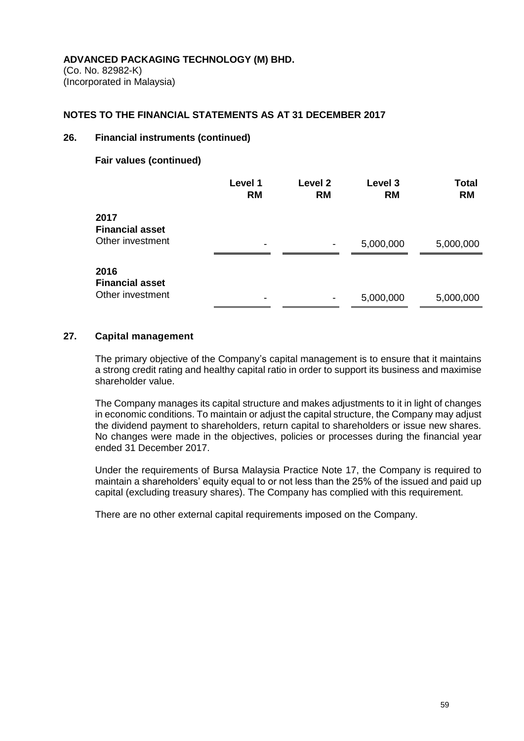(Co. No. 82982-K) (Incorporated in Malaysia)

#### **NOTES TO THE FINANCIAL STATEMENTS AS AT 31 DECEMBER 2017**

# **26. Financial instruments (continued)**

## **Fair values (continued)**

|                                                    | Level 1<br><b>RM</b> | Level 2<br><b>RM</b> | Level 3<br><b>RM</b> | <b>Total</b><br><b>RM</b> |
|----------------------------------------------------|----------------------|----------------------|----------------------|---------------------------|
| 2017<br><b>Financial asset</b><br>Other investment | -                    | $\blacksquare$       | 5,000,000            | 5,000,000                 |
| 2016<br><b>Financial asset</b><br>Other investment | -                    |                      | 5,000,000            | 5,000,000                 |

#### **27. Capital management**

The primary objective of the Company's capital management is to ensure that it maintains a strong credit rating and healthy capital ratio in order to support its business and maximise shareholder value.

The Company manages its capital structure and makes adjustments to it in light of changes in economic conditions. To maintain or adjust the capital structure, the Company may adjust the dividend payment to shareholders, return capital to shareholders or issue new shares. No changes were made in the objectives, policies or processes during the financial year ended 31 December 2017.

Under the requirements of Bursa Malaysia Practice Note 17, the Company is required to maintain a shareholders' equity equal to or not less than the 25% of the issued and paid up capital (excluding treasury shares). The Company has complied with this requirement.

There are no other external capital requirements imposed on the Company.